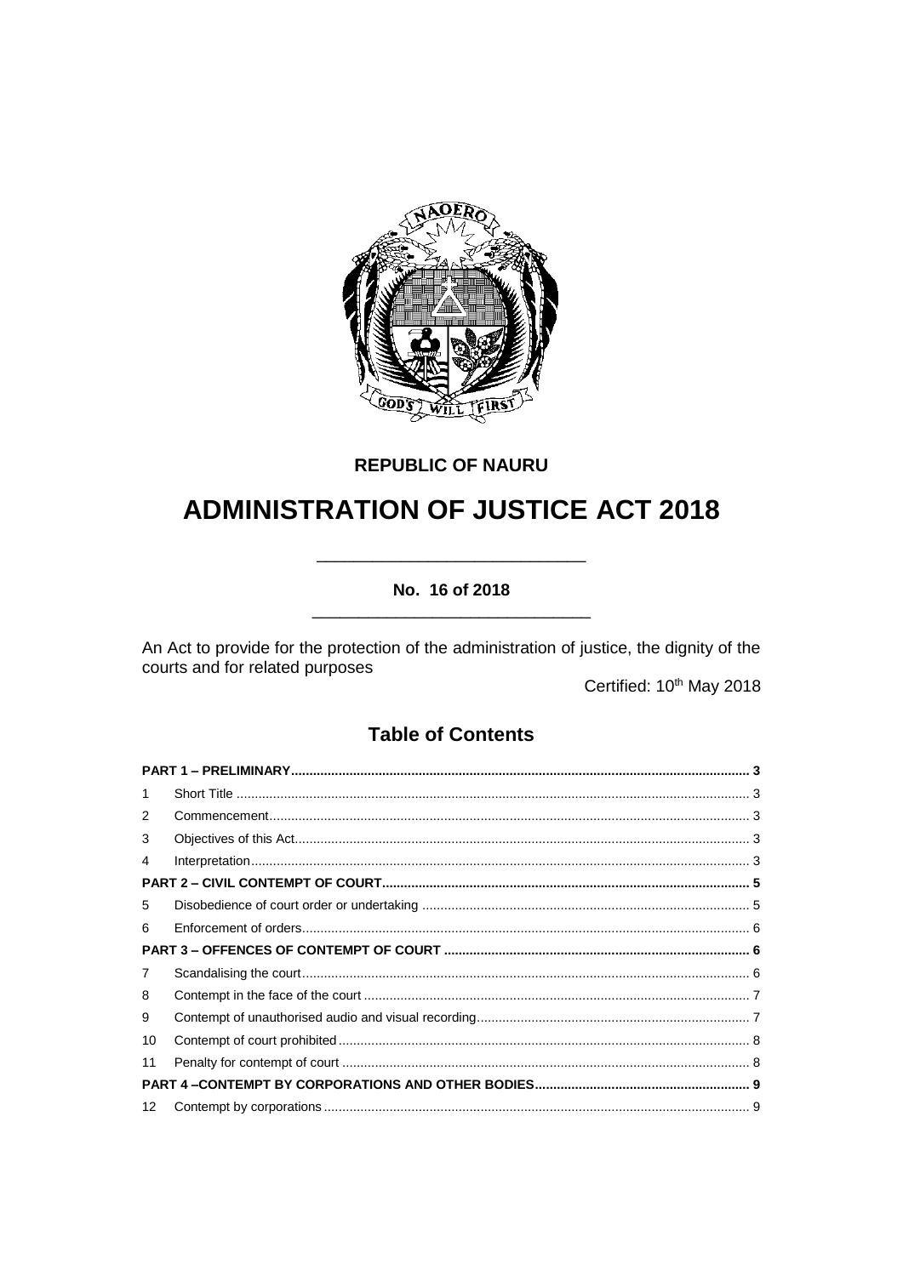

# **REPUBLIC OF NAURU**

# **ADMINISTRATION OF JUSTICE ACT 2018**

# No. 16 of 2018

An Act to provide for the protection of the administration of justice, the dignity of the courts and for related purposes

Certified: 10<sup>th</sup> May 2018

# **Table of Contents**

| 1  |  |  |  |
|----|--|--|--|
| 2  |  |  |  |
| 3  |  |  |  |
| 4  |  |  |  |
|    |  |  |  |
| 5  |  |  |  |
| 6  |  |  |  |
|    |  |  |  |
| 7  |  |  |  |
| 8  |  |  |  |
| 9  |  |  |  |
| 10 |  |  |  |
| 11 |  |  |  |
|    |  |  |  |
| 12 |  |  |  |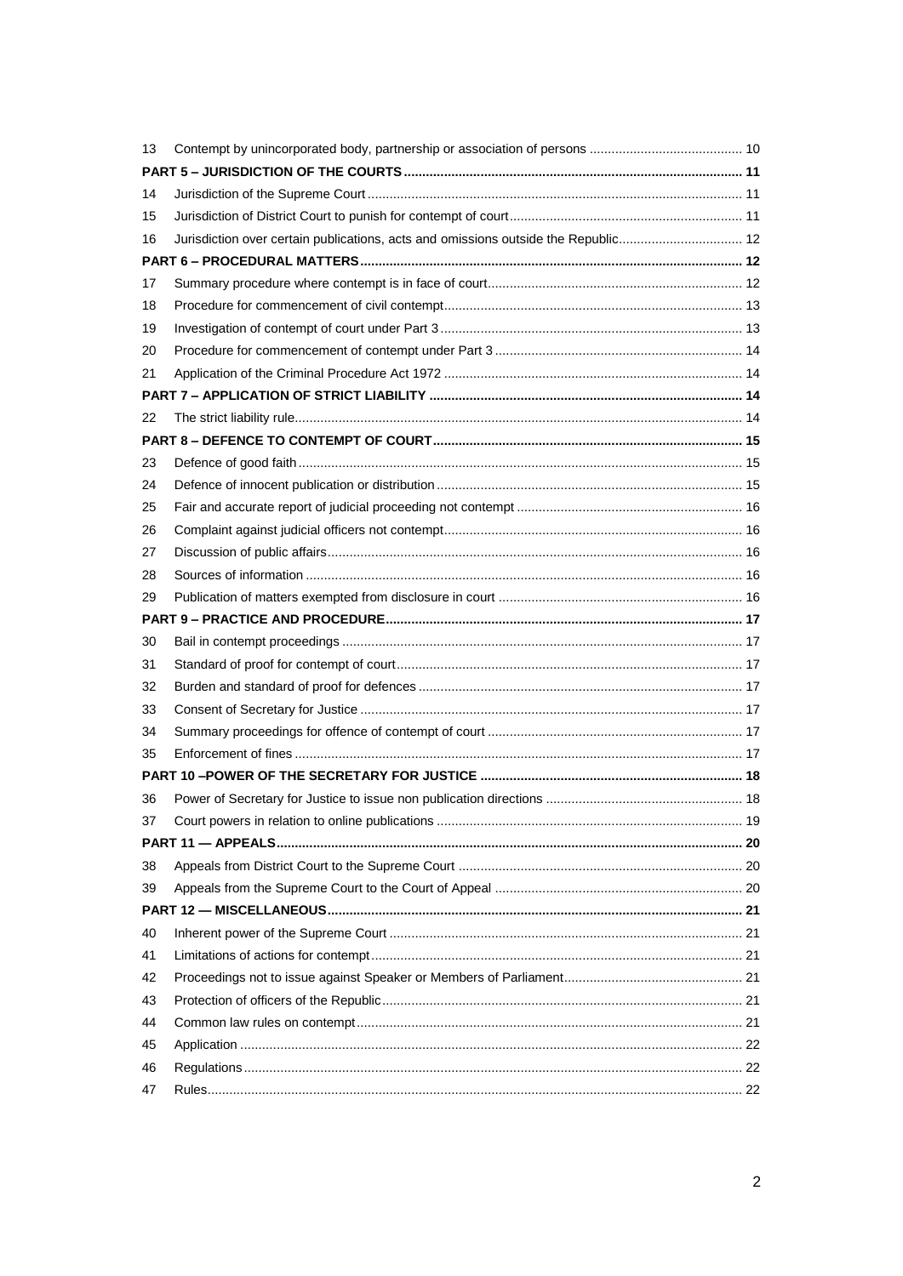| 13 |                                                                                    |  |
|----|------------------------------------------------------------------------------------|--|
|    |                                                                                    |  |
| 14 |                                                                                    |  |
| 15 |                                                                                    |  |
| 16 | Jurisdiction over certain publications, acts and omissions outside the Republic 12 |  |
|    |                                                                                    |  |
| 17 |                                                                                    |  |
| 18 |                                                                                    |  |
| 19 |                                                                                    |  |
| 20 |                                                                                    |  |
| 21 |                                                                                    |  |
|    |                                                                                    |  |
| 22 |                                                                                    |  |
|    |                                                                                    |  |
| 23 |                                                                                    |  |
| 24 |                                                                                    |  |
| 25 |                                                                                    |  |
| 26 |                                                                                    |  |
| 27 |                                                                                    |  |
| 28 |                                                                                    |  |
| 29 |                                                                                    |  |
|    |                                                                                    |  |
| 30 |                                                                                    |  |
| 31 |                                                                                    |  |
| 32 |                                                                                    |  |
| 33 |                                                                                    |  |
| 34 |                                                                                    |  |
| 35 |                                                                                    |  |
|    |                                                                                    |  |
| 36 |                                                                                    |  |
| 37 |                                                                                    |  |
|    |                                                                                    |  |
| 38 |                                                                                    |  |
| 39 |                                                                                    |  |
|    |                                                                                    |  |
| 40 |                                                                                    |  |
| 41 |                                                                                    |  |
| 42 |                                                                                    |  |
| 43 |                                                                                    |  |
| 44 |                                                                                    |  |
| 45 |                                                                                    |  |
|    |                                                                                    |  |
| 46 |                                                                                    |  |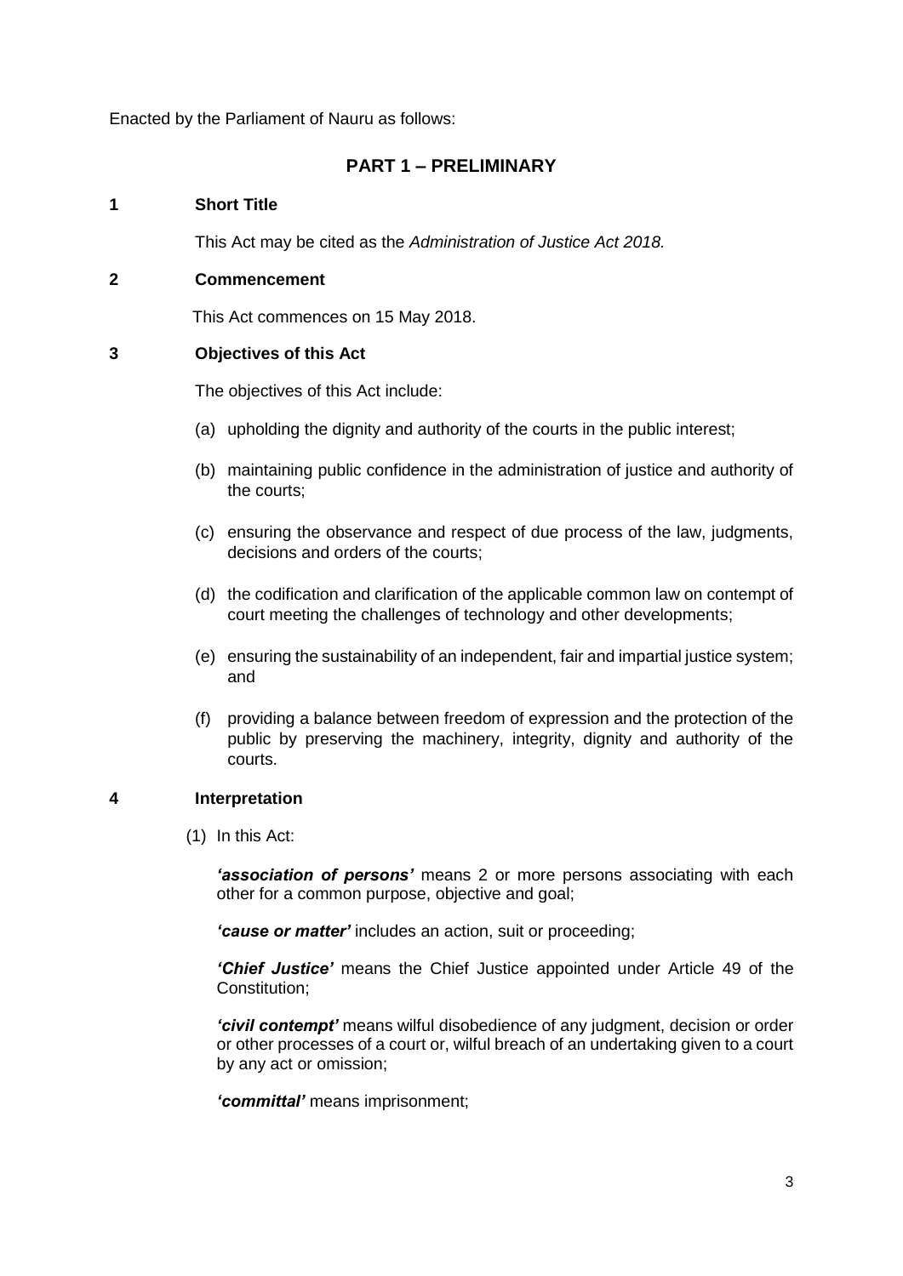Enacted by the Parliament of Nauru as follows:

## **PART 1 – PRELIMINARY**

## <span id="page-2-1"></span><span id="page-2-0"></span>**1 Short Title**

This Act may be cited as the *Administration of Justice Act 2018.* 

## <span id="page-2-2"></span>**2 Commencement**

This Act commences on 15 May 2018.

## <span id="page-2-3"></span>**3 Objectives of this Act**

The objectives of this Act include:

- (a) upholding the dignity and authority of the courts in the public interest;
- (b) maintaining public confidence in the administration of justice and authority of the courts;
- (c) ensuring the observance and respect of due process of the law, judgments, decisions and orders of the courts;
- (d) the codification and clarification of the applicable common law on contempt of court meeting the challenges of technology and other developments;
- (e) ensuring the sustainability of an independent, fair and impartial justice system; and
- (f) providing a balance between freedom of expression and the protection of the public by preserving the machinery, integrity, dignity and authority of the courts.

#### <span id="page-2-4"></span>**4 Interpretation**

(1) In this Act:

*'association of persons'* means 2 or more persons associating with each other for a common purpose, objective and goal;

*'cause or matter'* includes an action, suit or proceeding;

*'Chief Justice'* means the Chief Justice appointed under Article 49 of the Constitution;

*'civil contempt'* means wilful disobedience of any judgment, decision or order or other processes of a court or, wilful breach of an undertaking given to a court by any act or omission;

*'committal'* means imprisonment;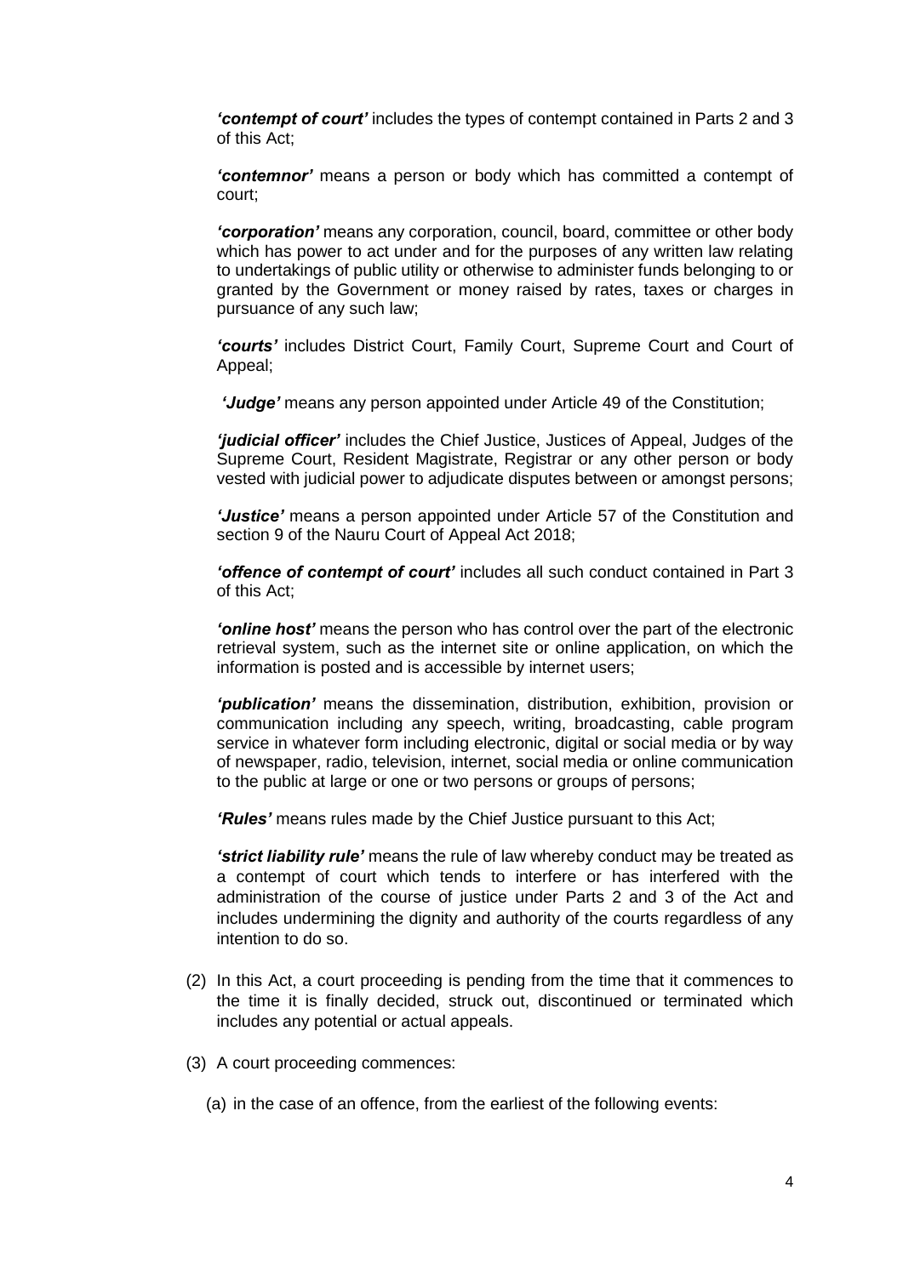*'contempt of court'* includes the types of contempt contained in Parts 2 and 3 of this Act;

*'contemnor'* means a person or body which has committed a contempt of court;

*'corporation'* means any corporation, council, board, committee or other body which has power to act under and for the purposes of any written law relating to undertakings of public utility or otherwise to administer funds belonging to or granted by the Government or money raised by rates, taxes or charges in pursuance of any such law;

*'courts'* includes District Court, Family Court, Supreme Court and Court of Appeal;

*'Judge'* means any person appointed under Article 49 of the Constitution;

*'judicial officer'* includes the Chief Justice, Justices of Appeal, Judges of the Supreme Court, Resident Magistrate, Registrar or any other person or body vested with judicial power to adjudicate disputes between or amongst persons;

*'Justice'* means a person appointed under Article 57 of the Constitution and section 9 of the Nauru Court of Appeal Act 2018;

*'offence of contempt of court'* includes all such conduct contained in Part 3 of this Act;

*'online host'* means the person who has control over the part of the electronic retrieval system, such as the internet site or online application, on which the information is posted and is accessible by internet users;

*'publication'* means the dissemination, distribution, exhibition, provision or communication including any speech, writing, broadcasting, cable program service in whatever form including electronic, digital or social media or by way of newspaper, radio, television, internet, social media or online communication to the public at large or one or two persons or groups of persons;

*'Rules'* means rules made by the Chief Justice pursuant to this Act;

*'strict liability rule'* means the rule of law whereby conduct may be treated as a contempt of court which tends to interfere or has interfered with the administration of the course of justice under Parts 2 and 3 of the Act and includes undermining the dignity and authority of the courts regardless of any intention to do so.

- (2) In this Act, a court proceeding is pending from the time that it commences to the time it is finally decided, struck out, discontinued or terminated which includes any potential or actual appeals.
- (3) A court proceeding commences:
	- (a) in the case of an offence, from the earliest of the following events: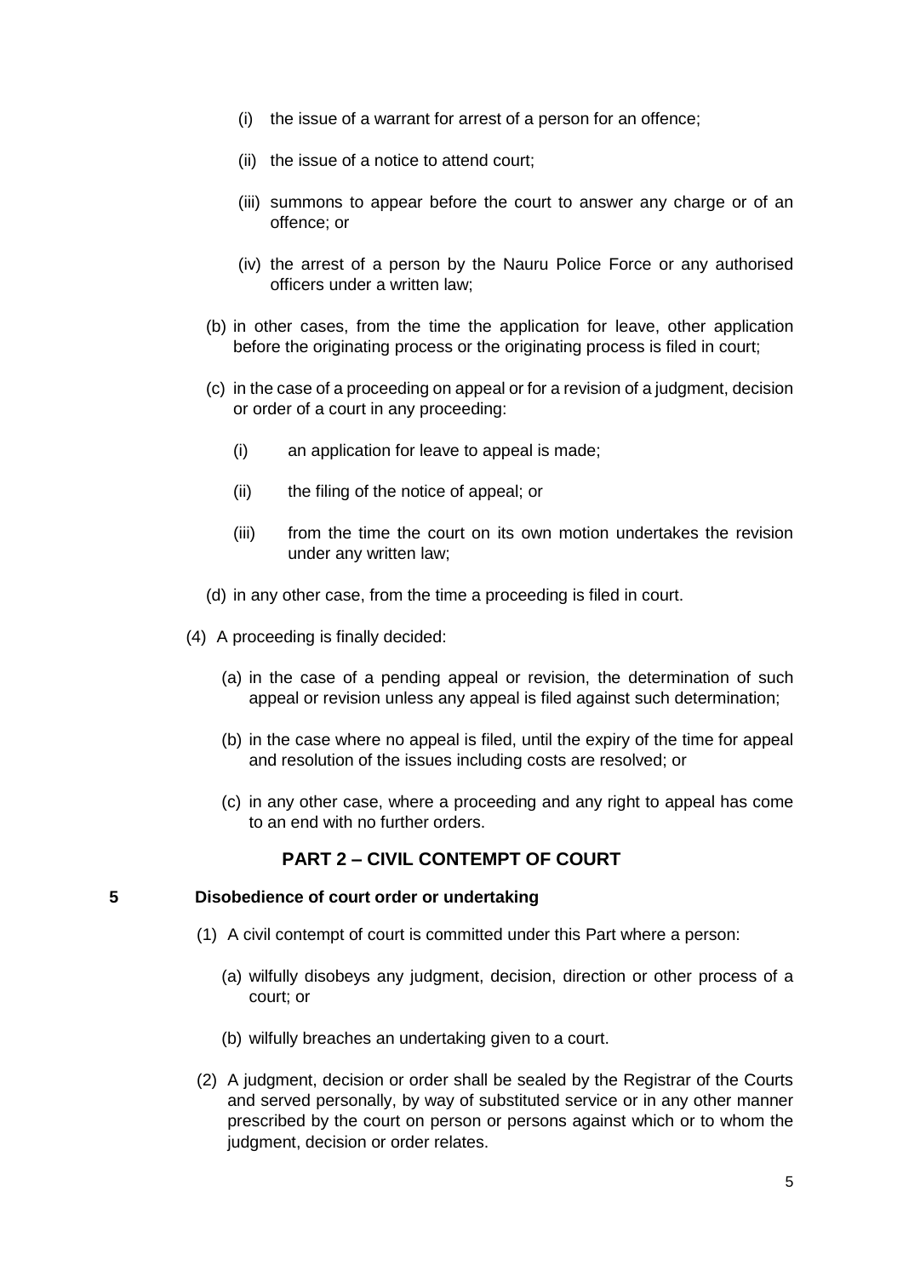- (i) the issue of a warrant for arrest of a person for an offence;
- (ii) the issue of a notice to attend court;
- (iii) summons to appear before the court to answer any charge or of an offence; or
- (iv) the arrest of a person by the Nauru Police Force or any authorised officers under a written law;
- (b) in other cases, from the time the application for leave, other application before the originating process or the originating process is filed in court;
- (c) in the case of a proceeding on appeal or for a revision of a judgment, decision or order of a court in any proceeding:
	- (i) an application for leave to appeal is made;
	- (ii) the filing of the notice of appeal; or
	- (iii) from the time the court on its own motion undertakes the revision under any written law;
- (d) in any other case, from the time a proceeding is filed in court.
- (4) A proceeding is finally decided:
	- (a) in the case of a pending appeal or revision, the determination of such appeal or revision unless any appeal is filed against such determination;
	- (b) in the case where no appeal is filed, until the expiry of the time for appeal and resolution of the issues including costs are resolved; or
	- (c) in any other case, where a proceeding and any right to appeal has come to an end with no further orders.

# **PART 2 – CIVIL CONTEMPT OF COURT**

#### <span id="page-4-1"></span><span id="page-4-0"></span>**5 Disobedience of court order or undertaking**

- (1) A civil contempt of court is committed under this Part where a person:
	- (a) wilfully disobeys any judgment, decision, direction or other process of a court; or
	- (b) wilfully breaches an undertaking given to a court.
- (2) A judgment, decision or order shall be sealed by the Registrar of the Courts and served personally, by way of substituted service or in any other manner prescribed by the court on person or persons against which or to whom the judgment, decision or order relates.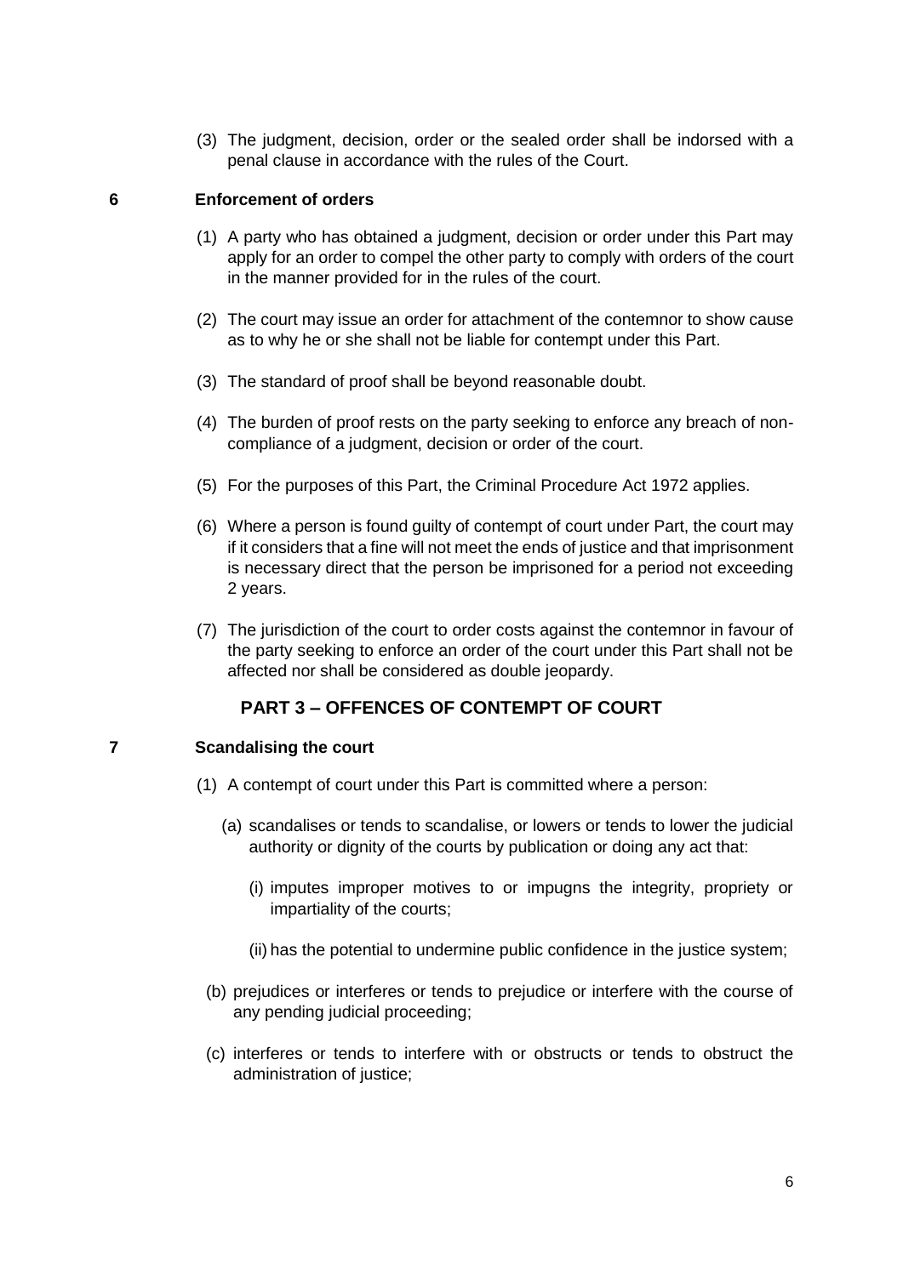(3) The judgment, decision, order or the sealed order shall be indorsed with a penal clause in accordance with the rules of the Court.

#### <span id="page-5-0"></span>**6 Enforcement of orders**

- (1) A party who has obtained a judgment, decision or order under this Part may apply for an order to compel the other party to comply with orders of the court in the manner provided for in the rules of the court.
- (2) The court may issue an order for attachment of the contemnor to show cause as to why he or she shall not be liable for contempt under this Part.
- (3) The standard of proof shall be beyond reasonable doubt.
- (4) The burden of proof rests on the party seeking to enforce any breach of noncompliance of a judgment, decision or order of the court.
- (5) For the purposes of this Part, the Criminal Procedure Act 1972 applies.
- (6) Where a person is found guilty of contempt of court under Part, the court may if it considers that a fine will not meet the ends of justice and that imprisonment is necessary direct that the person be imprisoned for a period not exceeding 2 years.
- (7) The jurisdiction of the court to order costs against the contemnor in favour of the party seeking to enforce an order of the court under this Part shall not be affected nor shall be considered as double jeopardy.

# **PART 3 – OFFENCES OF CONTEMPT OF COURT**

## <span id="page-5-2"></span><span id="page-5-1"></span>**7 Scandalising the court**

- (1) A contempt of court under this Part is committed where a person:
	- (a) scandalises or tends to scandalise, or lowers or tends to lower the judicial authority or dignity of the courts by publication or doing any act that:
		- (i) imputes improper motives to or impugns the integrity, propriety or impartiality of the courts;
		- (ii) has the potential to undermine public confidence in the justice system;
	- (b) prejudices or interferes or tends to prejudice or interfere with the course of any pending judicial proceeding;
	- (c) interferes or tends to interfere with or obstructs or tends to obstruct the administration of justice;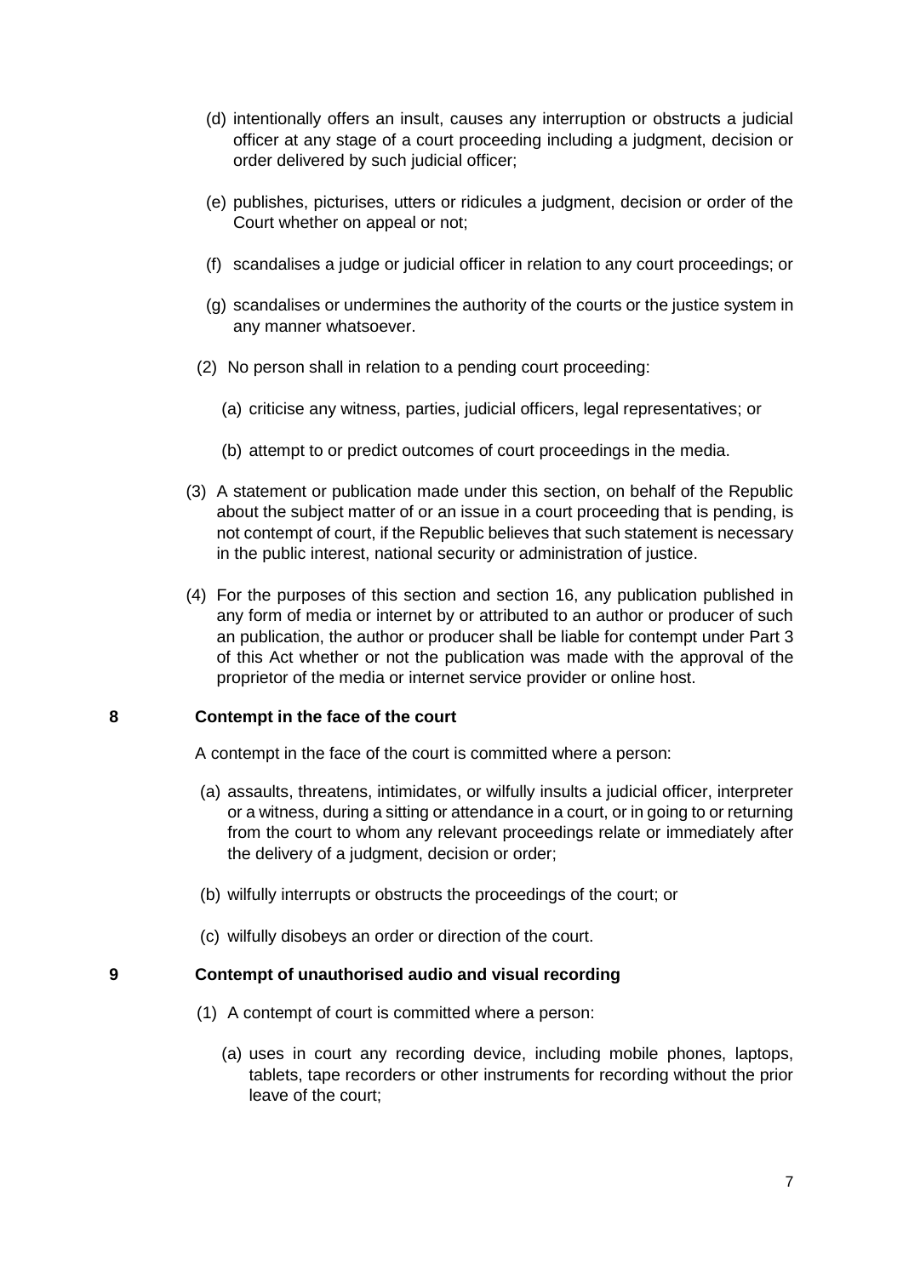- (d) intentionally offers an insult, causes any interruption or obstructs a judicial officer at any stage of a court proceeding including a judgment, decision or order delivered by such judicial officer;
- (e) publishes, picturises, utters or ridicules a judgment, decision or order of the Court whether on appeal or not;
- (f) scandalises a judge or judicial officer in relation to any court proceedings; or
- (g) scandalises or undermines the authority of the courts or the justice system in any manner whatsoever.
- (2) No person shall in relation to a pending court proceeding:
	- (a) criticise any witness, parties, judicial officers, legal representatives; or
	- (b) attempt to or predict outcomes of court proceedings in the media.
- (3) A statement or publication made under this section, on behalf of the Republic about the subject matter of or an issue in a court proceeding that is pending, is not contempt of court, if the Republic believes that such statement is necessary in the public interest, national security or administration of justice.
- (4) For the purposes of this section and section 16, any publication published in any form of media or internet by or attributed to an author or producer of such an publication, the author or producer shall be liable for contempt under Part 3 of this Act whether or not the publication was made with the approval of the proprietor of the media or internet service provider or online host.

## <span id="page-6-0"></span>**8 Contempt in the face of the court**

A contempt in the face of the court is committed where a person:

- (a) assaults, threatens, intimidates, or wilfully insults a judicial officer, interpreter or a witness, during a sitting or attendance in a court, or in going to or returning from the court to whom any relevant proceedings relate or immediately after the delivery of a judgment, decision or order;
- (b) wilfully interrupts or obstructs the proceedings of the court; or
- (c) wilfully disobeys an order or direction of the court.

#### <span id="page-6-1"></span>**9 Contempt of unauthorised audio and visual recording**

- (1) A contempt of court is committed where a person:
	- (a) uses in court any recording device, including mobile phones, laptops, tablets, tape recorders or other instruments for recording without the prior leave of the court;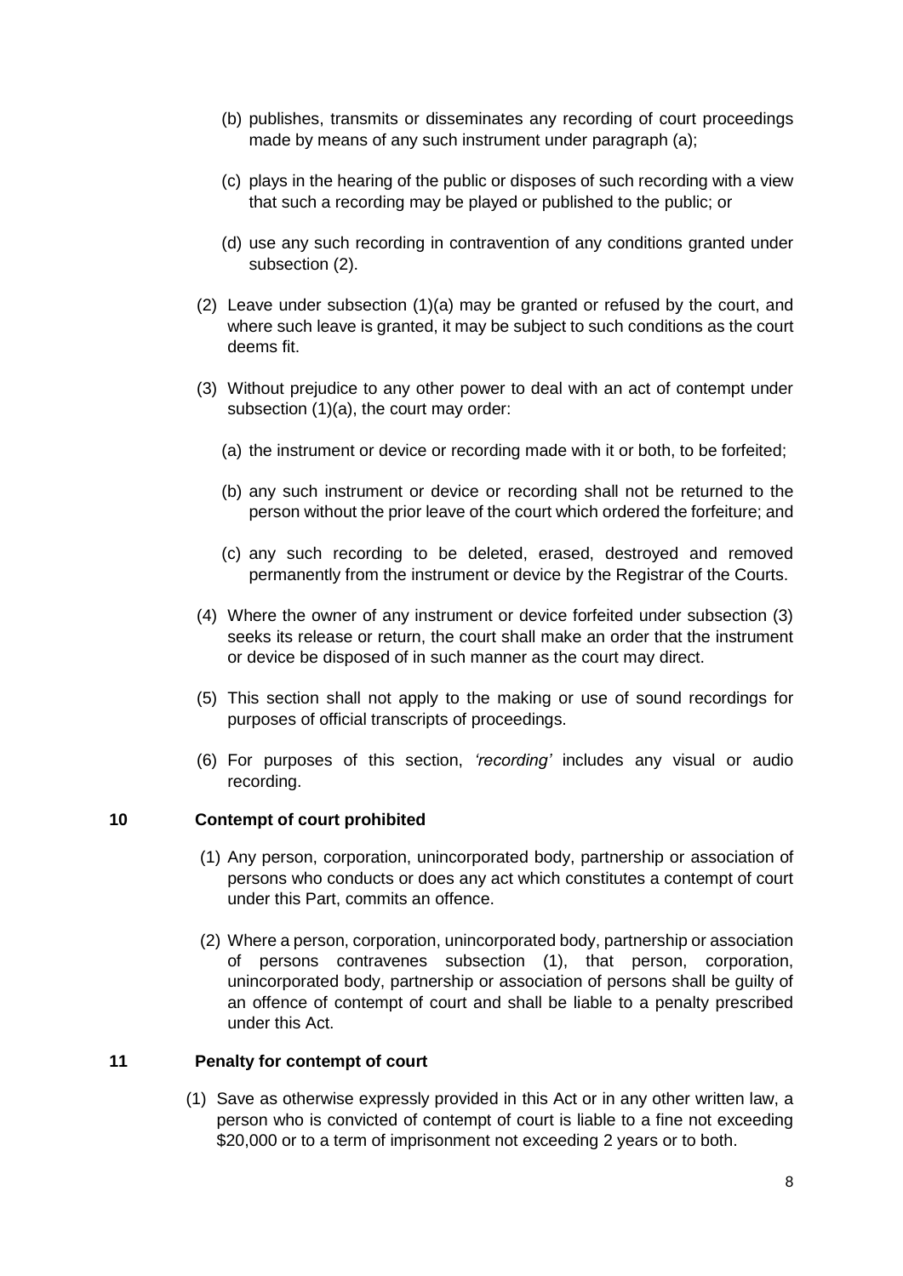- (b) publishes, transmits or disseminates any recording of court proceedings made by means of any such instrument under paragraph (a);
- (c) plays in the hearing of the public or disposes of such recording with a view that such a recording may be played or published to the public; or
- (d) use any such recording in contravention of any conditions granted under subsection (2).
- (2) Leave under subsection (1)(a) may be granted or refused by the court, and where such leave is granted, it may be subject to such conditions as the court deems fit.
- (3) Without prejudice to any other power to deal with an act of contempt under subsection (1)(a), the court may order:
	- (a) the instrument or device or recording made with it or both, to be forfeited;
	- (b) any such instrument or device or recording shall not be returned to the person without the prior leave of the court which ordered the forfeiture; and
	- (c) any such recording to be deleted, erased, destroyed and removed permanently from the instrument or device by the Registrar of the Courts.
- (4) Where the owner of any instrument or device forfeited under subsection (3) seeks its release or return, the court shall make an order that the instrument or device be disposed of in such manner as the court may direct.
- (5) This section shall not apply to the making or use of sound recordings for purposes of official transcripts of proceedings.
- (6) For purposes of this section, *'recording'* includes any visual or audio recording.

## <span id="page-7-0"></span>**10 Contempt of court prohibited**

- (1) Any person, corporation, unincorporated body, partnership or association of persons who conducts or does any act which constitutes a contempt of court under this Part, commits an offence.
- (2) Where a person, corporation, unincorporated body, partnership or association of persons contravenes subsection (1), that person, corporation, unincorporated body, partnership or association of persons shall be guilty of an offence of contempt of court and shall be liable to a penalty prescribed under this Act.

## <span id="page-7-1"></span>**11 Penalty for contempt of court**

(1) Save as otherwise expressly provided in this Act or in any other written law, a person who is convicted of contempt of court is liable to a fine not exceeding \$20,000 or to a term of imprisonment not exceeding 2 years or to both.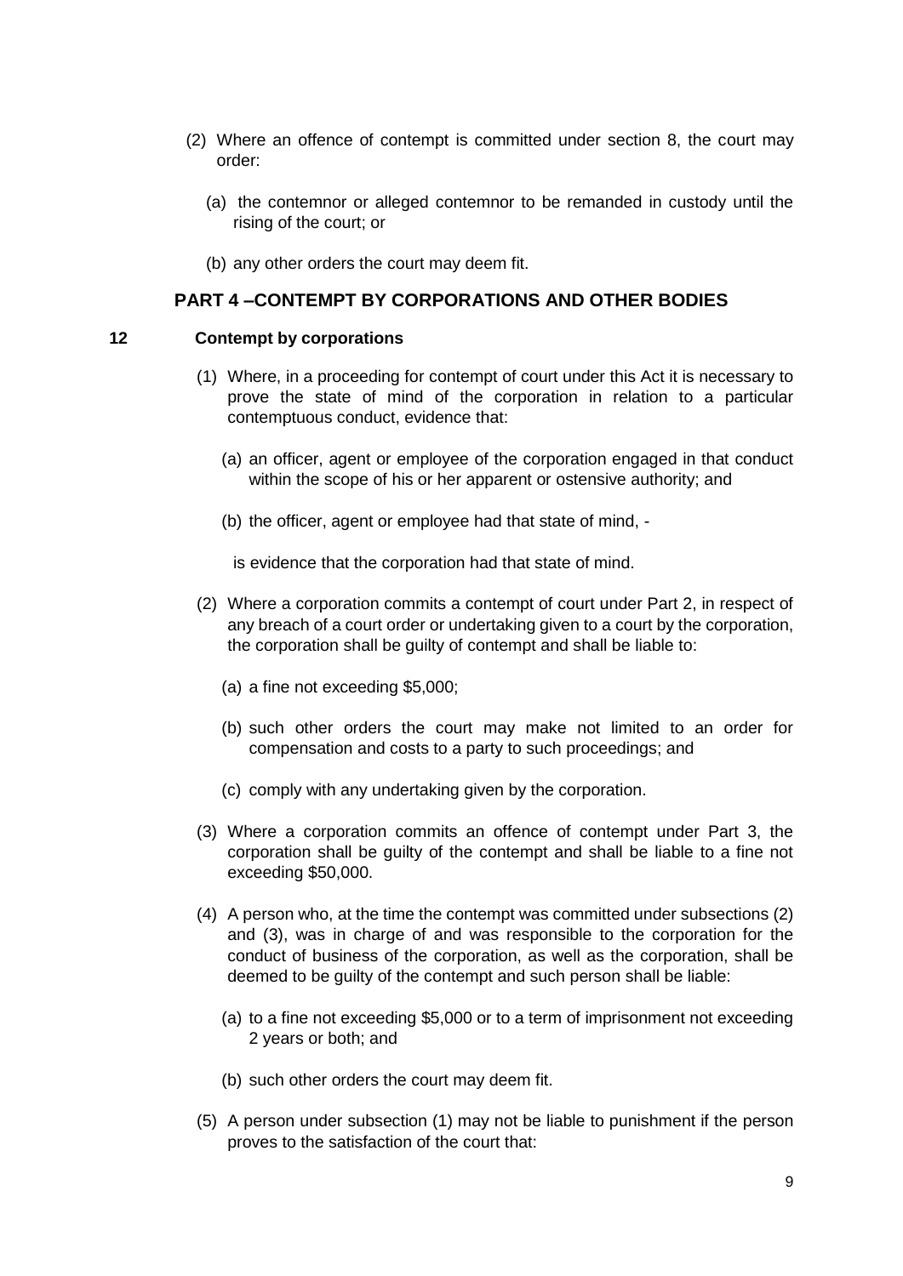- (2) Where an offence of contempt is committed under section 8, the court may order:
	- (a) the contemnor or alleged contemnor to be remanded in custody until the rising of the court; or
	- (b) any other orders the court may deem fit.

## **PART 4 –CONTEMPT BY CORPORATIONS AND OTHER BODIES**

#### <span id="page-8-1"></span><span id="page-8-0"></span>**12 Contempt by corporations**

- (1) Where, in a proceeding for contempt of court under this Act it is necessary to prove the state of mind of the corporation in relation to a particular contemptuous conduct, evidence that:
	- (a) an officer, agent or employee of the corporation engaged in that conduct within the scope of his or her apparent or ostensive authority; and
	- (b) the officer, agent or employee had that state of mind, -

is evidence that the corporation had that state of mind.

- (2) Where a corporation commits a contempt of court under Part 2, in respect of any breach of a court order or undertaking given to a court by the corporation, the corporation shall be guilty of contempt and shall be liable to:
	- (a) a fine not exceeding \$5,000;
	- (b) such other orders the court may make not limited to an order for compensation and costs to a party to such proceedings; and
	- (c) comply with any undertaking given by the corporation.
- (3) Where a corporation commits an offence of contempt under Part 3, the corporation shall be guilty of the contempt and shall be liable to a fine not exceeding \$50,000.
- (4) A person who, at the time the contempt was committed under subsections (2) and (3), was in charge of and was responsible to the corporation for the conduct of business of the corporation, as well as the corporation, shall be deemed to be guilty of the contempt and such person shall be liable:
	- (a) to a fine not exceeding \$5,000 or to a term of imprisonment not exceeding 2 years or both; and
	- (b) such other orders the court may deem fit.
- (5) A person under subsection (1) may not be liable to punishment if the person proves to the satisfaction of the court that: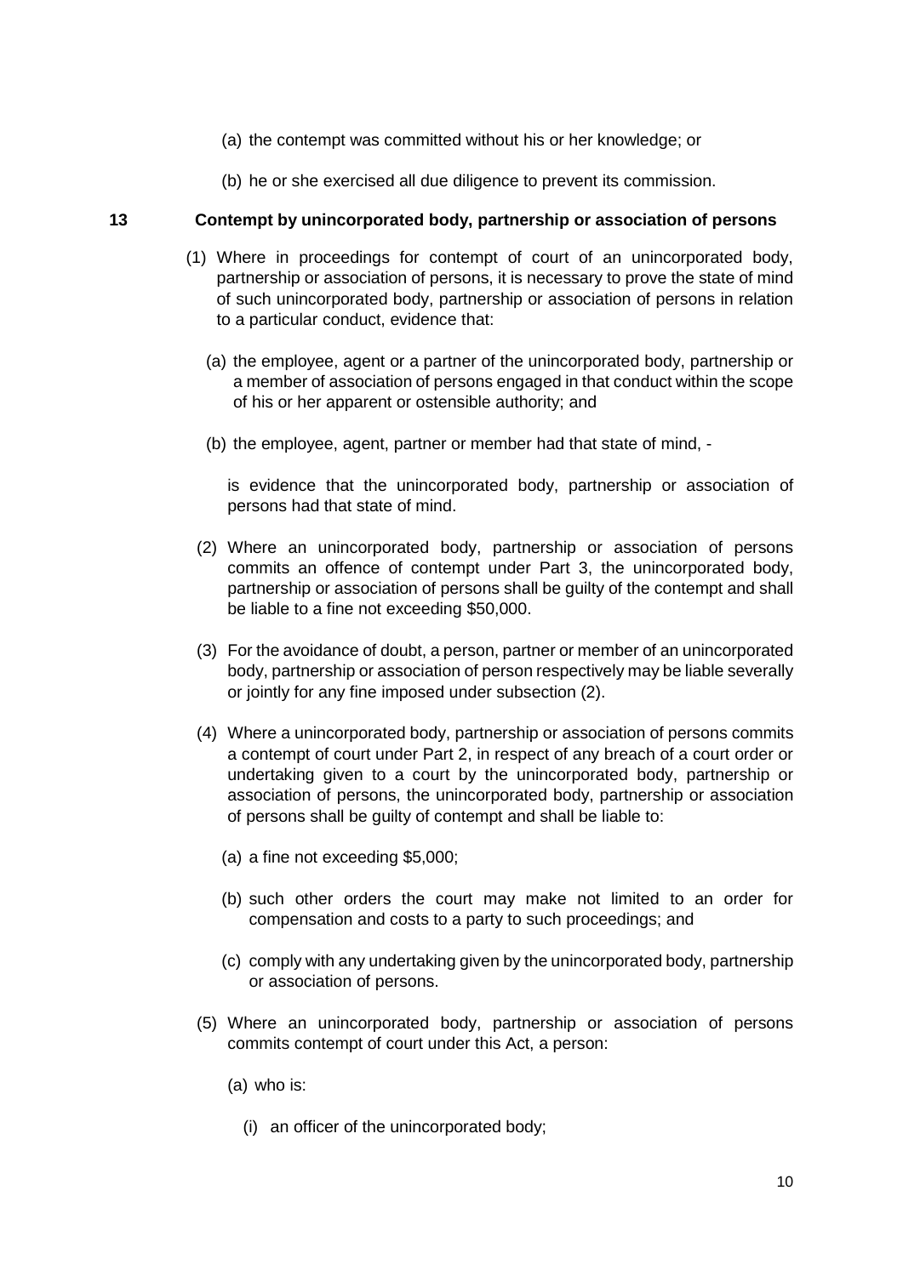- (a) the contempt was committed without his or her knowledge; or
- (b) he or she exercised all due diligence to prevent its commission.

## <span id="page-9-0"></span>**13 Contempt by unincorporated body, partnership or association of persons**

- (1) Where in proceedings for contempt of court of an unincorporated body, partnership or association of persons, it is necessary to prove the state of mind of such unincorporated body, partnership or association of persons in relation to a particular conduct, evidence that:
	- (a) the employee, agent or a partner of the unincorporated body, partnership or a member of association of persons engaged in that conduct within the scope of his or her apparent or ostensible authority; and
	- (b) the employee, agent, partner or member had that state of mind, -

is evidence that the unincorporated body, partnership or association of persons had that state of mind.

- (2) Where an unincorporated body, partnership or association of persons commits an offence of contempt under Part 3, the unincorporated body, partnership or association of persons shall be guilty of the contempt and shall be liable to a fine not exceeding \$50,000.
- (3) For the avoidance of doubt, a person, partner or member of an unincorporated body, partnership or association of person respectively may be liable severally or jointly for any fine imposed under subsection (2).
- (4) Where a unincorporated body, partnership or association of persons commits a contempt of court under Part 2, in respect of any breach of a court order or undertaking given to a court by the unincorporated body, partnership or association of persons, the unincorporated body, partnership or association of persons shall be guilty of contempt and shall be liable to:
	- (a) a fine not exceeding \$5,000;
	- (b) such other orders the court may make not limited to an order for compensation and costs to a party to such proceedings; and
	- (c) comply with any undertaking given by the unincorporated body, partnership or association of persons.
- (5) Where an unincorporated body, partnership or association of persons commits contempt of court under this Act, a person:
	- (a) who is:
		- (i) an officer of the unincorporated body;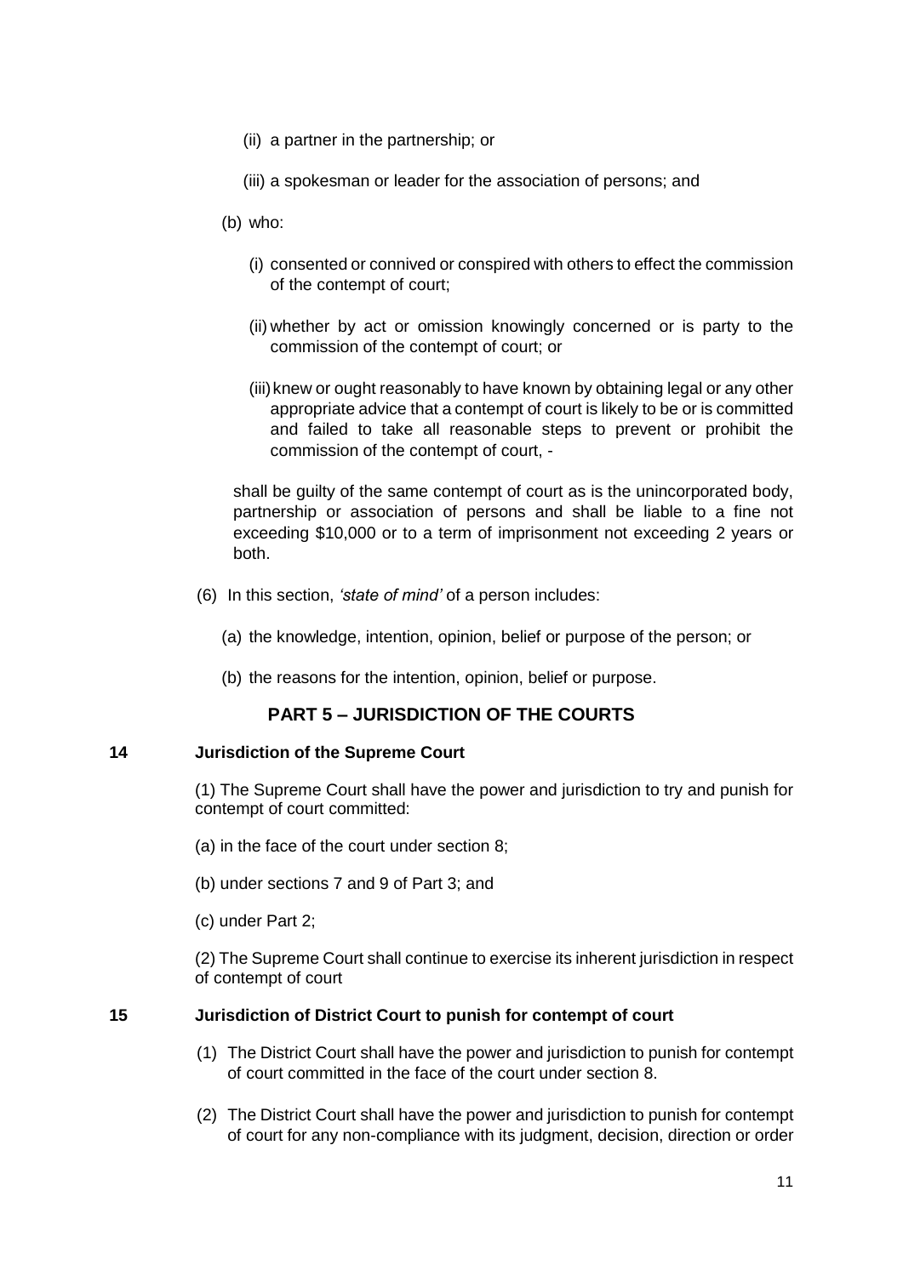- (ii) a partner in the partnership; or
- (iii) a spokesman or leader for the association of persons; and
- (b) who:
	- (i) consented or connived or conspired with others to effect the commission of the contempt of court;
	- (ii) whether by act or omission knowingly concerned or is party to the commission of the contempt of court; or
	- (iii)knew or ought reasonably to have known by obtaining legal or any other appropriate advice that a contempt of court is likely to be or is committed and failed to take all reasonable steps to prevent or prohibit the commission of the contempt of court, -

shall be guilty of the same contempt of court as is the unincorporated body, partnership or association of persons and shall be liable to a fine not exceeding \$10,000 or to a term of imprisonment not exceeding 2 years or both.

- (6) In this section, *'state of mind'* of a person includes:
	- (a) the knowledge, intention, opinion, belief or purpose of the person; or
	- (b) the reasons for the intention, opinion, belief or purpose.

# **PART 5 – JURISDICTION OF THE COURTS**

#### <span id="page-10-1"></span><span id="page-10-0"></span>**14 Jurisdiction of the Supreme Court**

(1) The Supreme Court shall have the power and jurisdiction to try and punish for contempt of court committed:

- (a) in the face of the court under section 8;
- (b) under sections 7 and 9 of Part 3; and
- (c) under Part 2;

(2) The Supreme Court shall continue to exercise its inherent jurisdiction in respect of contempt of court

## <span id="page-10-2"></span>**15 Jurisdiction of District Court to punish for contempt of court**

- (1) The District Court shall have the power and jurisdiction to punish for contempt of court committed in the face of the court under section 8.
- (2) The District Court shall have the power and jurisdiction to punish for contempt of court for any non-compliance with its judgment, decision, direction or order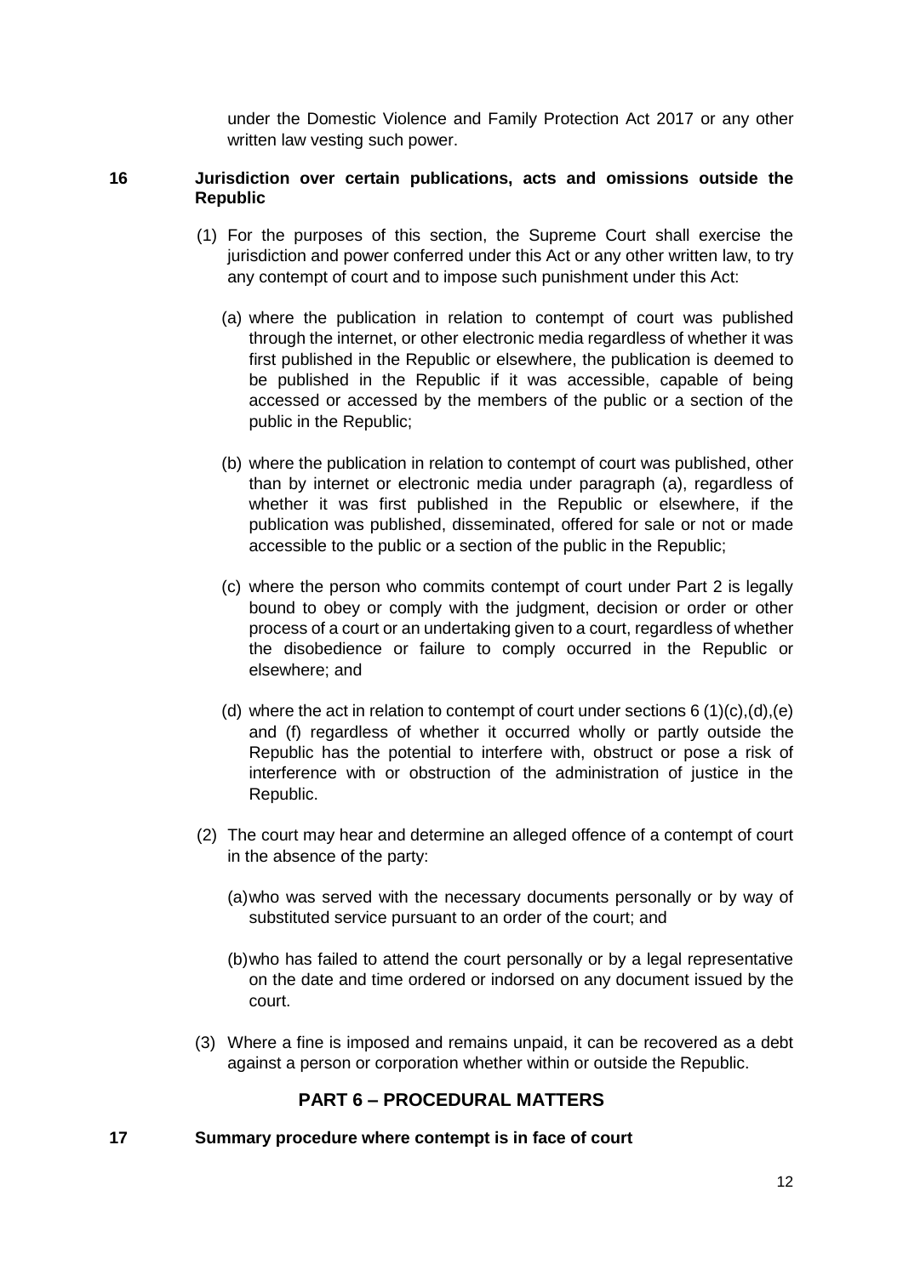under the Domestic Violence and Family Protection Act 2017 or any other written law vesting such power.

## <span id="page-11-0"></span>**16 Jurisdiction over certain publications, acts and omissions outside the Republic**

- (1) For the purposes of this section, the Supreme Court shall exercise the jurisdiction and power conferred under this Act or any other written law, to try any contempt of court and to impose such punishment under this Act:
	- (a) where the publication in relation to contempt of court was published through the internet, or other electronic media regardless of whether it was first published in the Republic or elsewhere, the publication is deemed to be published in the Republic if it was accessible, capable of being accessed or accessed by the members of the public or a section of the public in the Republic;
	- (b) where the publication in relation to contempt of court was published, other than by internet or electronic media under paragraph (a), regardless of whether it was first published in the Republic or elsewhere, if the publication was published, disseminated, offered for sale or not or made accessible to the public or a section of the public in the Republic;
	- (c) where the person who commits contempt of court under Part 2 is legally bound to obey or comply with the judgment, decision or order or other process of a court or an undertaking given to a court, regardless of whether the disobedience or failure to comply occurred in the Republic or elsewhere; and
	- (d) where the act in relation to contempt of court under sections  $6(1)(c)$ ,  $(d)$ ,  $(e)$ and (f) regardless of whether it occurred wholly or partly outside the Republic has the potential to interfere with, obstruct or pose a risk of interference with or obstruction of the administration of justice in the Republic.
- (2) The court may hear and determine an alleged offence of a contempt of court in the absence of the party:
	- (a)who was served with the necessary documents personally or by way of substituted service pursuant to an order of the court; and
	- (b)who has failed to attend the court personally or by a legal representative on the date and time ordered or indorsed on any document issued by the court.
- (3) Where a fine is imposed and remains unpaid, it can be recovered as a debt against a person or corporation whether within or outside the Republic.

# **PART 6 – PROCEDURAL MATTERS**

#### <span id="page-11-2"></span><span id="page-11-1"></span>**17 Summary procedure where contempt is in face of court**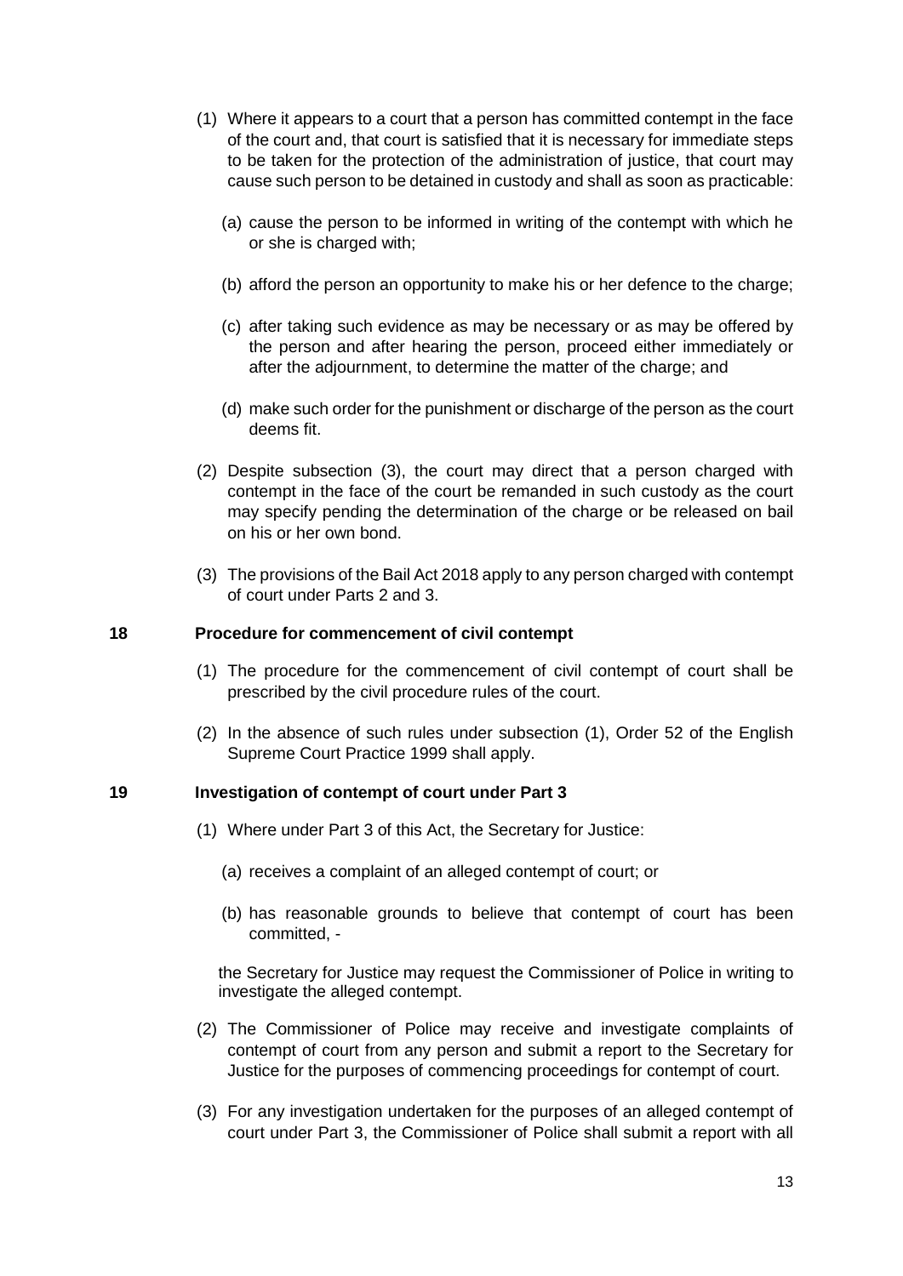- (1) Where it appears to a court that a person has committed contempt in the face of the court and, that court is satisfied that it is necessary for immediate steps to be taken for the protection of the administration of justice, that court may cause such person to be detained in custody and shall as soon as practicable:
	- (a) cause the person to be informed in writing of the contempt with which he or she is charged with;
	- (b) afford the person an opportunity to make his or her defence to the charge;
	- (c) after taking such evidence as may be necessary or as may be offered by the person and after hearing the person, proceed either immediately or after the adjournment, to determine the matter of the charge; and
	- (d) make such order for the punishment or discharge of the person as the court deems fit.
- (2) Despite subsection (3), the court may direct that a person charged with contempt in the face of the court be remanded in such custody as the court may specify pending the determination of the charge or be released on bail on his or her own bond.
- (3) The provisions of the Bail Act 2018 apply to any person charged with contempt of court under Parts 2 and 3.

#### <span id="page-12-0"></span>**18 Procedure for commencement of civil contempt**

- (1) The procedure for the commencement of civil contempt of court shall be prescribed by the civil procedure rules of the court.
- (2) In the absence of such rules under subsection (1), Order 52 of the English Supreme Court Practice 1999 shall apply.

#### <span id="page-12-1"></span>**19 Investigation of contempt of court under Part 3**

- (1) Where under Part 3 of this Act, the Secretary for Justice:
	- (a) receives a complaint of an alleged contempt of court; or
	- (b) has reasonable grounds to believe that contempt of court has been committed, -

the Secretary for Justice may request the Commissioner of Police in writing to investigate the alleged contempt.

- (2) The Commissioner of Police may receive and investigate complaints of contempt of court from any person and submit a report to the Secretary for Justice for the purposes of commencing proceedings for contempt of court.
- (3) For any investigation undertaken for the purposes of an alleged contempt of court under Part 3, the Commissioner of Police shall submit a report with all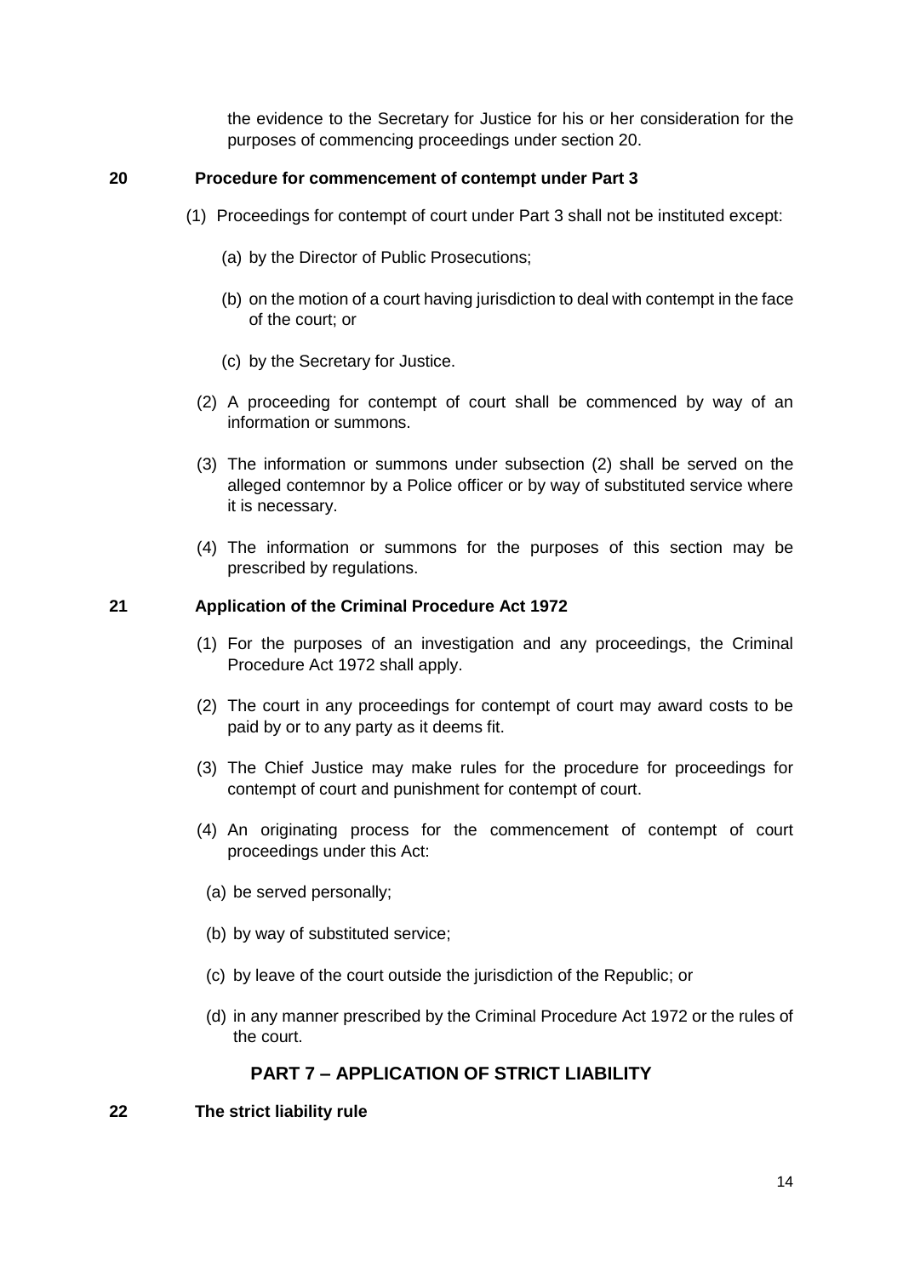the evidence to the Secretary for Justice for his or her consideration for the purposes of commencing proceedings under section 20.

## <span id="page-13-0"></span>**20 Procedure for commencement of contempt under Part 3**

- (1) Proceedings for contempt of court under Part 3 shall not be instituted except:
	- (a) by the Director of Public Prosecutions;
	- (b) on the motion of a court having jurisdiction to deal with contempt in the face of the court; or
	- (c) by the Secretary for Justice.
	- (2) A proceeding for contempt of court shall be commenced by way of an information or summons.
	- (3) The information or summons under subsection (2) shall be served on the alleged contemnor by a Police officer or by way of substituted service where it is necessary.
	- (4) The information or summons for the purposes of this section may be prescribed by regulations.

## <span id="page-13-1"></span>**21 Application of the Criminal Procedure Act 1972**

- (1) For the purposes of an investigation and any proceedings, the Criminal Procedure Act 1972 shall apply.
- (2) The court in any proceedings for contempt of court may award costs to be paid by or to any party as it deems fit.
- (3) The Chief Justice may make rules for the procedure for proceedings for contempt of court and punishment for contempt of court.
- (4) An originating process for the commencement of contempt of court proceedings under this Act:
	- (a) be served personally;
	- (b) by way of substituted service;
	- (c) by leave of the court outside the jurisdiction of the Republic; or
	- (d) in any manner prescribed by the Criminal Procedure Act 1972 or the rules of the court.

# **PART 7 – APPLICATION OF STRICT LIABILITY**

<span id="page-13-3"></span><span id="page-13-2"></span>**22 The strict liability rule**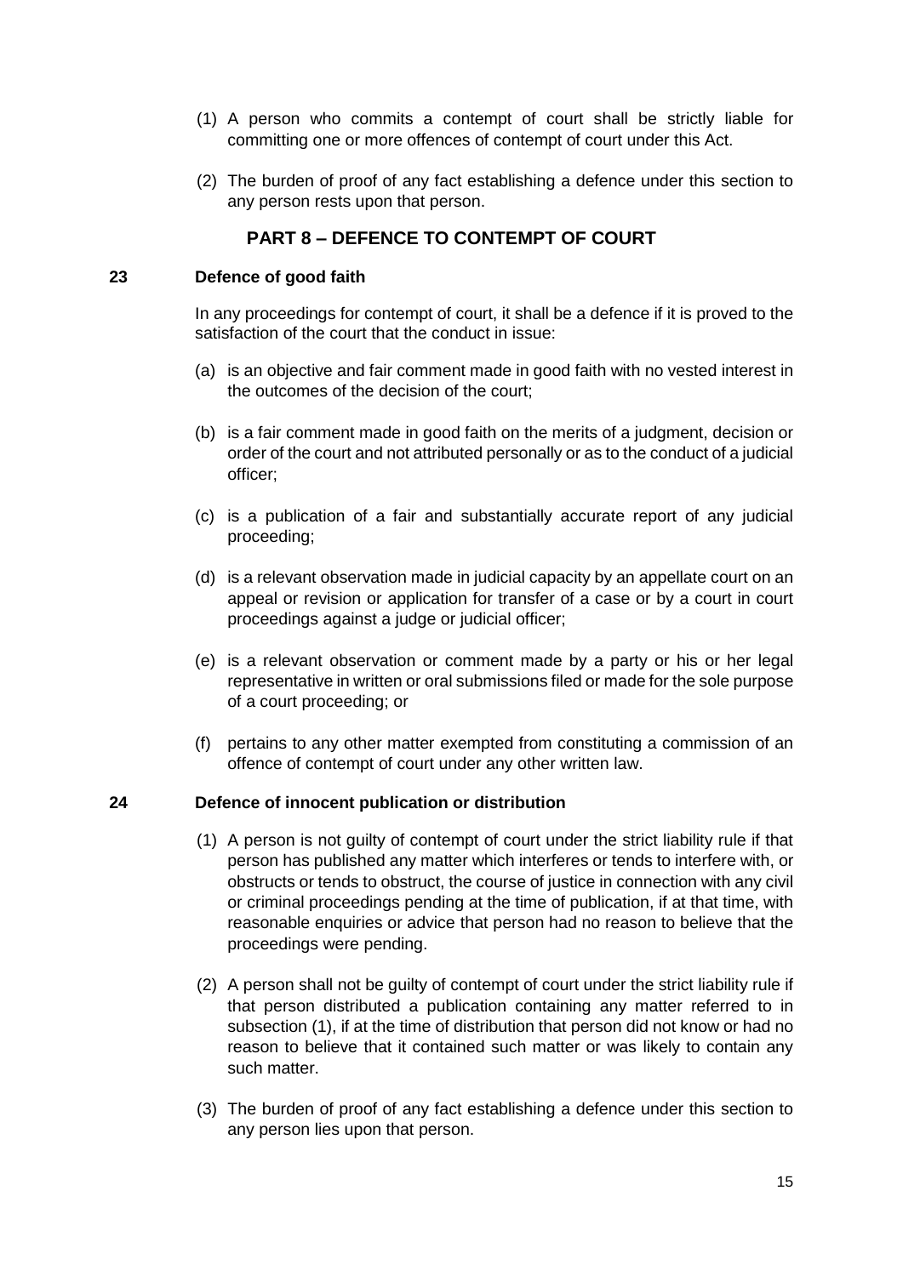- (1) A person who commits a contempt of court shall be strictly liable for committing one or more offences of contempt of court under this Act.
- (2) The burden of proof of any fact establishing a defence under this section to any person rests upon that person.

# **PART 8 – DEFENCE TO CONTEMPT OF COURT**

## <span id="page-14-1"></span><span id="page-14-0"></span>**23 Defence of good faith**

In any proceedings for contempt of court, it shall be a defence if it is proved to the satisfaction of the court that the conduct in issue:

- (a) is an objective and fair comment made in good faith with no vested interest in the outcomes of the decision of the court;
- (b) is a fair comment made in good faith on the merits of a judgment, decision or order of the court and not attributed personally or as to the conduct of a judicial officer;
- (c) is a publication of a fair and substantially accurate report of any judicial proceeding;
- (d) is a relevant observation made in judicial capacity by an appellate court on an appeal or revision or application for transfer of a case or by a court in court proceedings against a judge or judicial officer;
- (e) is a relevant observation or comment made by a party or his or her legal representative in written or oral submissions filed or made for the sole purpose of a court proceeding; or
- (f) pertains to any other matter exempted from constituting a commission of an offence of contempt of court under any other written law.

## <span id="page-14-2"></span>**24 Defence of innocent publication or distribution**

- (1) A person is not guilty of contempt of court under the strict liability rule if that person has published any matter which interferes or tends to interfere with, or obstructs or tends to obstruct, the course of justice in connection with any civil or criminal proceedings pending at the time of publication, if at that time, with reasonable enquiries or advice that person had no reason to believe that the proceedings were pending.
- (2) A person shall not be guilty of contempt of court under the strict liability rule if that person distributed a publication containing any matter referred to in subsection (1), if at the time of distribution that person did not know or had no reason to believe that it contained such matter or was likely to contain any such matter.
- (3) The burden of proof of any fact establishing a defence under this section to any person lies upon that person.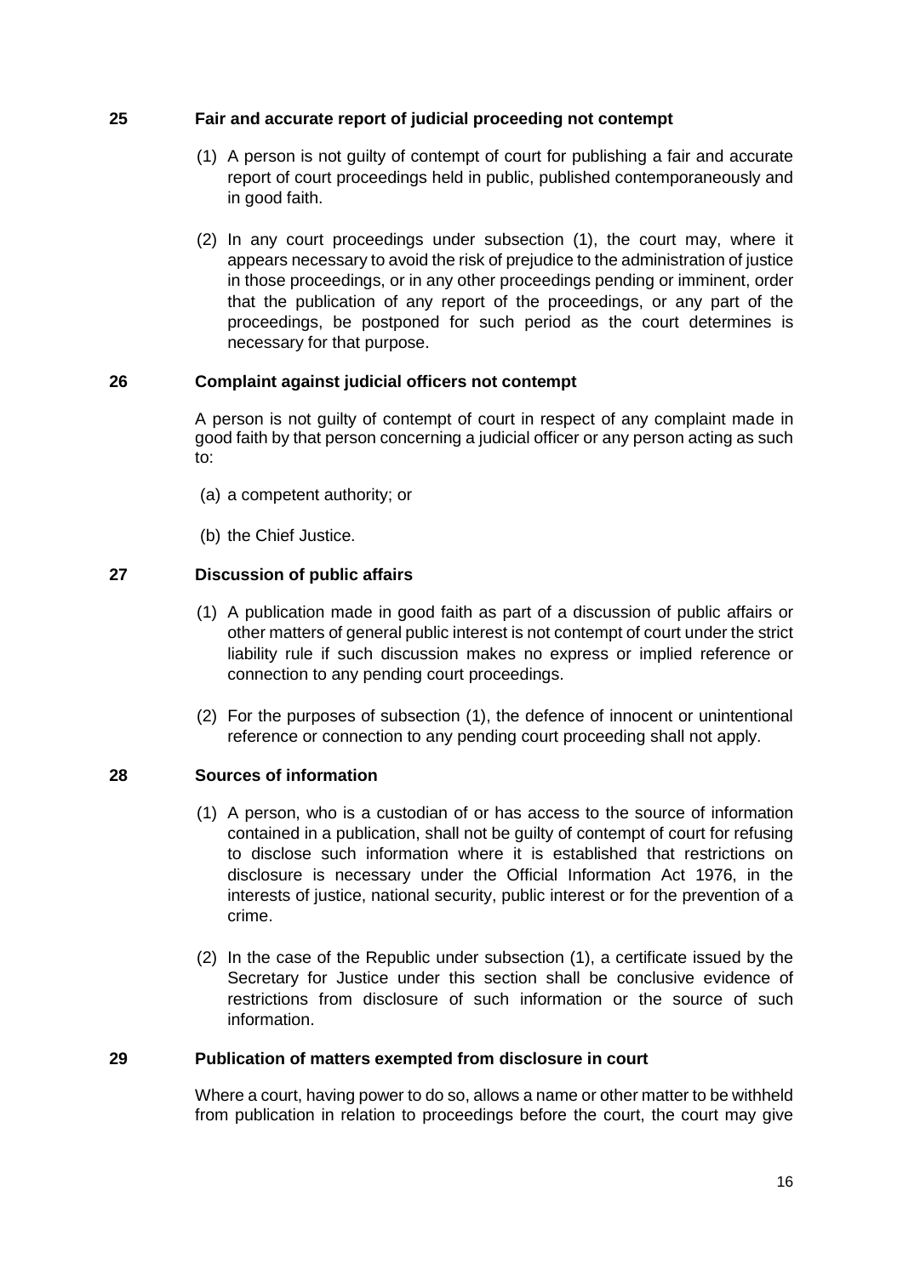## <span id="page-15-0"></span>**25 Fair and accurate report of judicial proceeding not contempt**

- (1) A person is not guilty of contempt of court for publishing a fair and accurate report of court proceedings held in public, published contemporaneously and in good faith.
- (2) In any court proceedings under subsection (1), the court may, where it appears necessary to avoid the risk of prejudice to the administration of justice in those proceedings, or in any other proceedings pending or imminent, order that the publication of any report of the proceedings, or any part of the proceedings, be postponed for such period as the court determines is necessary for that purpose.

## <span id="page-15-1"></span>**26 Complaint against judicial officers not contempt**

A person is not guilty of contempt of court in respect of any complaint made in good faith by that person concerning a judicial officer or any person acting as such to:

- (a) a competent authority; or
- (b) the Chief Justice.

## <span id="page-15-2"></span>**27 Discussion of public affairs**

- (1) A publication made in good faith as part of a discussion of public affairs or other matters of general public interest is not contempt of court under the strict liability rule if such discussion makes no express or implied reference or connection to any pending court proceedings.
- (2) For the purposes of subsection (1), the defence of innocent or unintentional reference or connection to any pending court proceeding shall not apply.

## <span id="page-15-3"></span>**28 Sources of information**

- (1) A person, who is a custodian of or has access to the source of information contained in a publication, shall not be guilty of contempt of court for refusing to disclose such information where it is established that restrictions on disclosure is necessary under the Official Information Act 1976, in the interests of justice, national security, public interest or for the prevention of a crime.
- (2) In the case of the Republic under subsection (1), a certificate issued by the Secretary for Justice under this section shall be conclusive evidence of restrictions from disclosure of such information or the source of such information.

#### <span id="page-15-4"></span>**29 Publication of matters exempted from disclosure in court**

Where a court, having power to do so, allows a name or other matter to be withheld from publication in relation to proceedings before the court, the court may give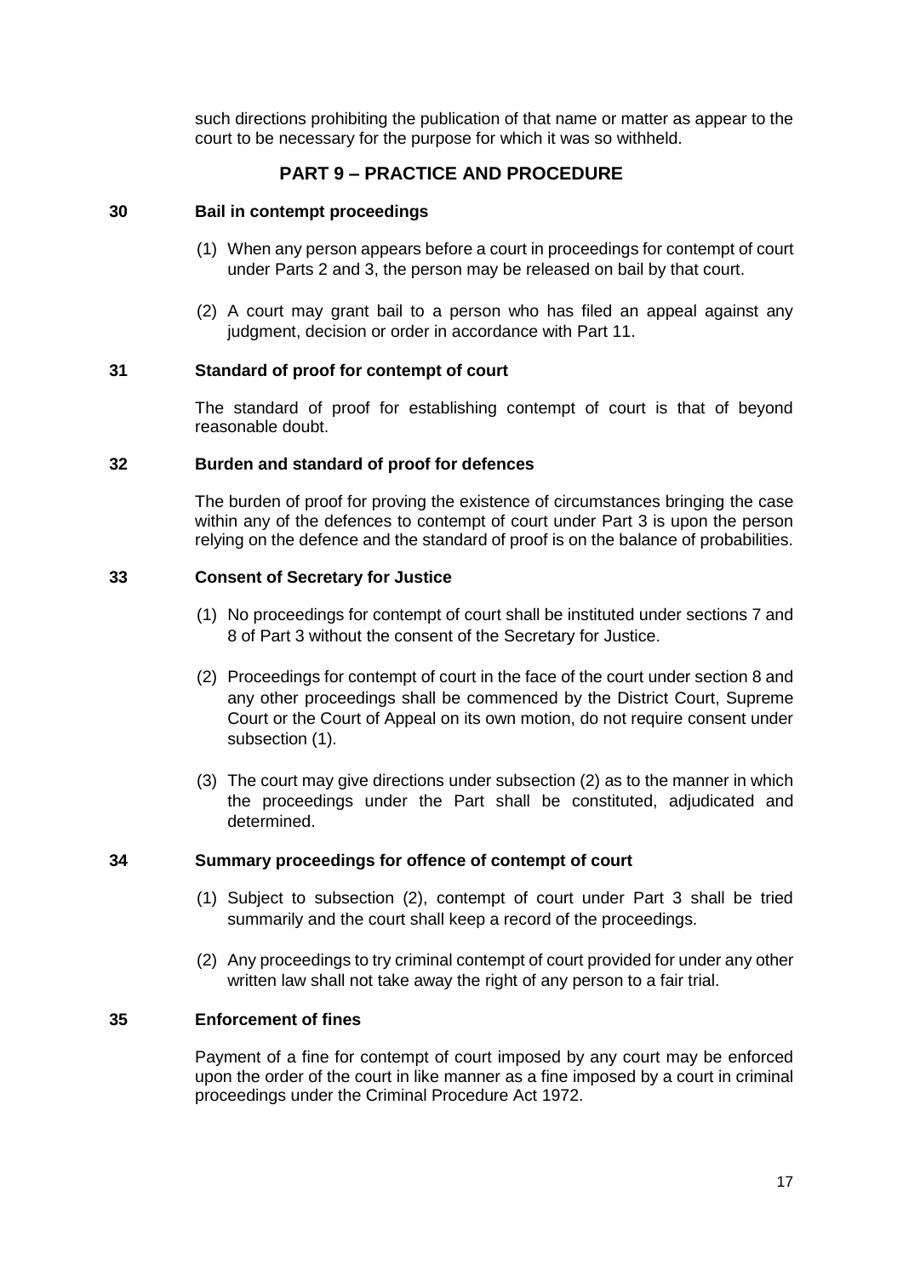such directions prohibiting the publication of that name or matter as appear to the court to be necessary for the purpose for which it was so withheld.

# **PART 9 – PRACTICE AND PROCEDURE**

## <span id="page-16-1"></span><span id="page-16-0"></span>**30 Bail in contempt proceedings**

- (1) When any person appears before a court in proceedings for contempt of court under Parts 2 and 3, the person may be released on bail by that court.
- (2) A court may grant bail to a person who has filed an appeal against any judgment, decision or order in accordance with Part 11.

## <span id="page-16-2"></span>**31 Standard of proof for contempt of court**

The standard of proof for establishing contempt of court is that of beyond reasonable doubt.

#### <span id="page-16-3"></span>**32 Burden and standard of proof for defences**

The burden of proof for proving the existence of circumstances bringing the case within any of the defences to contempt of court under Part 3 is upon the person relying on the defence and the standard of proof is on the balance of probabilities.

## <span id="page-16-4"></span>**33 Consent of Secretary for Justice**

- (1) No proceedings for contempt of court shall be instituted under sections 7 and 8 of Part 3 without the consent of the Secretary for Justice.
- (2) Proceedings for contempt of court in the face of the court under section 8 and any other proceedings shall be commenced by the District Court, Supreme Court or the Court of Appeal on its own motion, do not require consent under subsection (1).
- (3) The court may give directions under subsection (2) as to the manner in which the proceedings under the Part shall be constituted, adjudicated and determined.

#### <span id="page-16-5"></span>**34 Summary proceedings for offence of contempt of court**

- (1) Subject to subsection (2), contempt of court under Part 3 shall be tried summarily and the court shall keep a record of the proceedings.
- (2) Any proceedings to try criminal contempt of court provided for under any other written law shall not take away the right of any person to a fair trial.

## <span id="page-16-6"></span>**35 Enforcement of fines**

Payment of a fine for contempt of court imposed by any court may be enforced upon the order of the court in like manner as a fine imposed by a court in criminal proceedings under the Criminal Procedure Act 1972.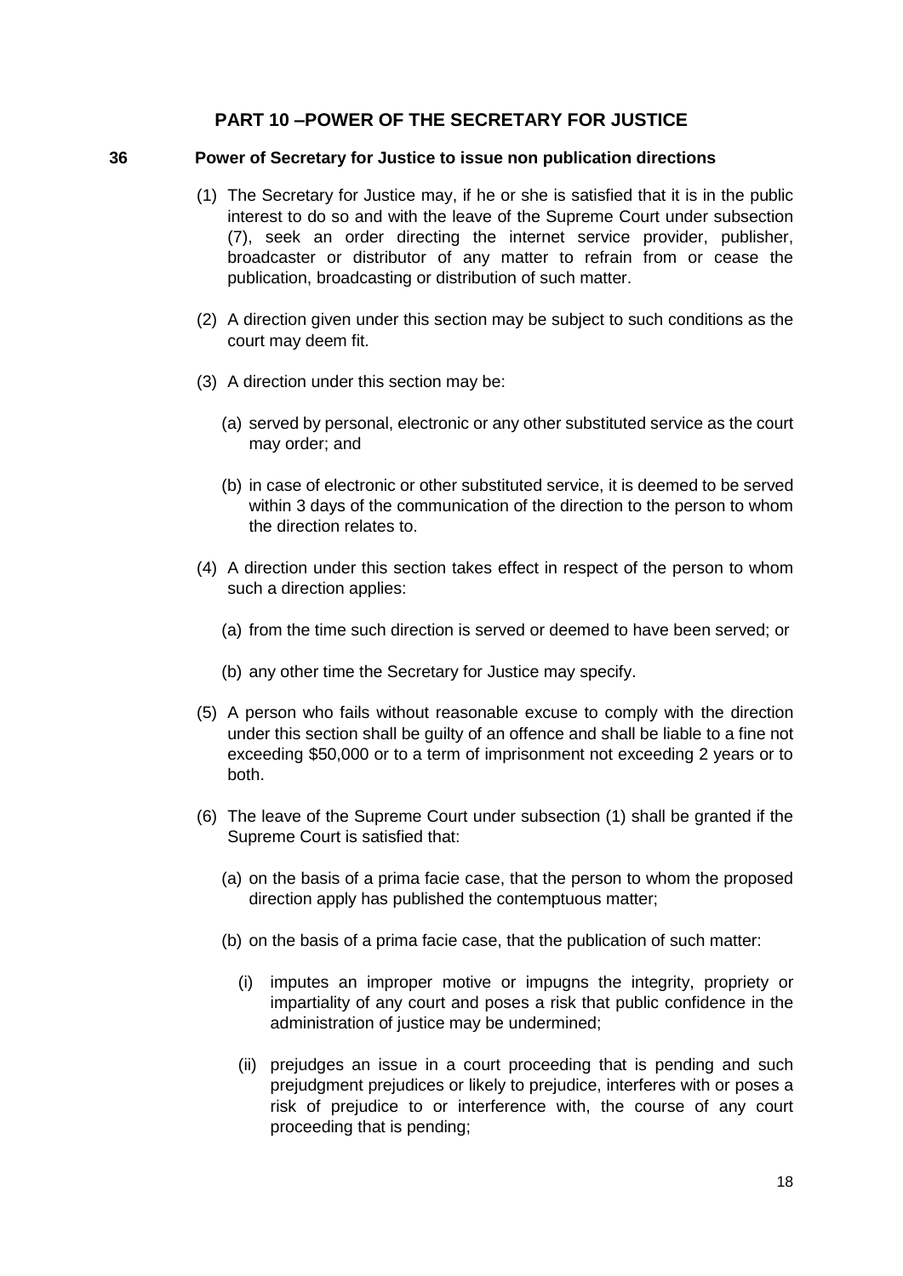## **PART 10 –POWER OF THE SECRETARY FOR JUSTICE**

#### <span id="page-17-1"></span><span id="page-17-0"></span>**36 Power of Secretary for Justice to issue non publication directions**

- (1) The Secretary for Justice may, if he or she is satisfied that it is in the public interest to do so and with the leave of the Supreme Court under subsection (7), seek an order directing the internet service provider, publisher, broadcaster or distributor of any matter to refrain from or cease the publication, broadcasting or distribution of such matter.
- (2) A direction given under this section may be subject to such conditions as the court may deem fit.
- (3) A direction under this section may be:
	- (a) served by personal, electronic or any other substituted service as the court may order; and
	- (b) in case of electronic or other substituted service, it is deemed to be served within 3 days of the communication of the direction to the person to whom the direction relates to.
- (4) A direction under this section takes effect in respect of the person to whom such a direction applies:
	- (a) from the time such direction is served or deemed to have been served; or
	- (b) any other time the Secretary for Justice may specify.
- (5) A person who fails without reasonable excuse to comply with the direction under this section shall be guilty of an offence and shall be liable to a fine not exceeding \$50,000 or to a term of imprisonment not exceeding 2 years or to both.
- (6) The leave of the Supreme Court under subsection (1) shall be granted if the Supreme Court is satisfied that:
	- (a) on the basis of a prima facie case, that the person to whom the proposed direction apply has published the contemptuous matter;
	- (b) on the basis of a prima facie case, that the publication of such matter:
		- (i) imputes an improper motive or impugns the integrity, propriety or impartiality of any court and poses a risk that public confidence in the administration of justice may be undermined;
		- (ii) prejudges an issue in a court proceeding that is pending and such prejudgment prejudices or likely to prejudice, interferes with or poses a risk of prejudice to or interference with, the course of any court proceeding that is pending;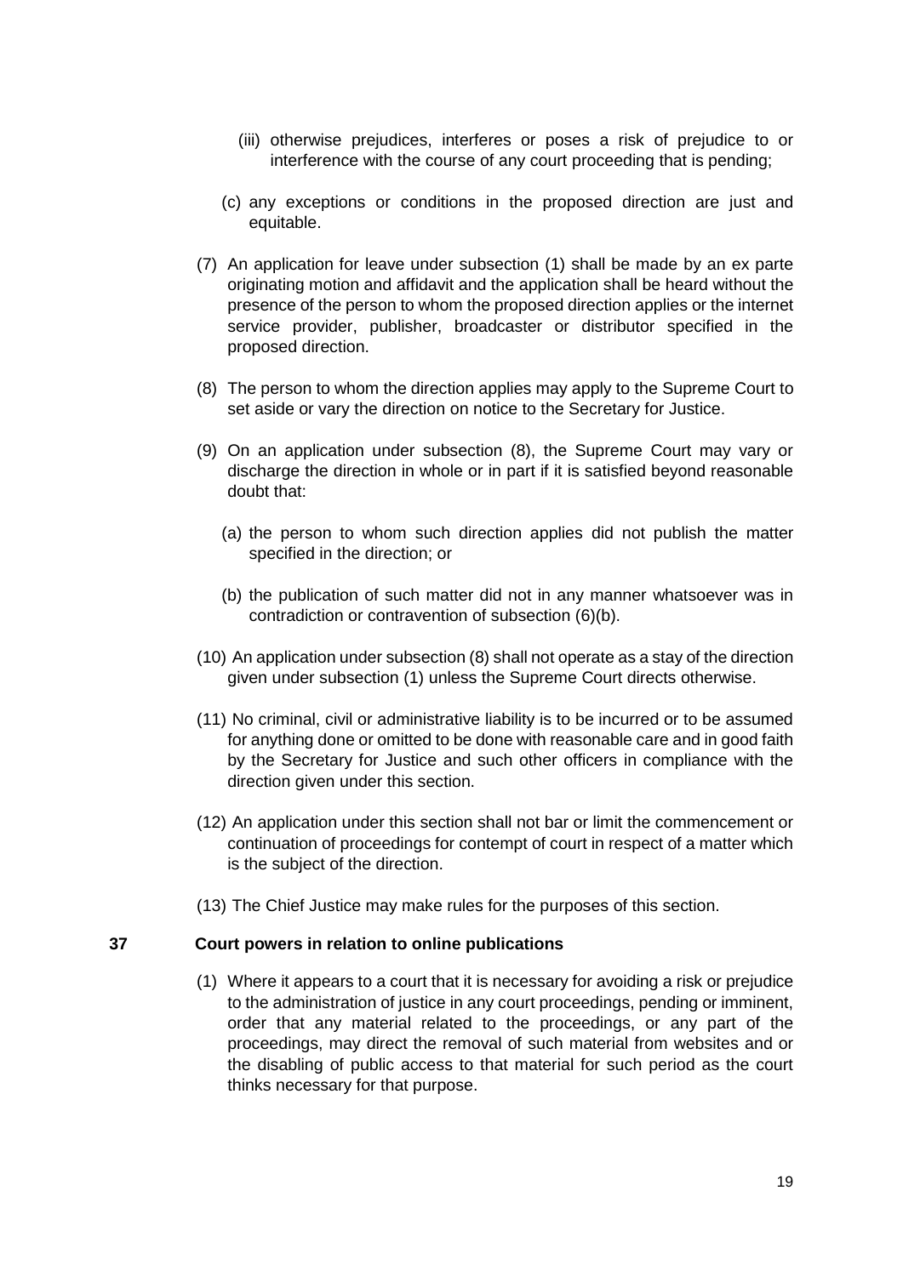- (iii) otherwise prejudices, interferes or poses a risk of prejudice to or interference with the course of any court proceeding that is pending;
- (c) any exceptions or conditions in the proposed direction are just and equitable.
- (7) An application for leave under subsection (1) shall be made by an ex parte originating motion and affidavit and the application shall be heard without the presence of the person to whom the proposed direction applies or the internet service provider, publisher, broadcaster or distributor specified in the proposed direction.
- (8) The person to whom the direction applies may apply to the Supreme Court to set aside or vary the direction on notice to the Secretary for Justice.
- (9) On an application under subsection (8), the Supreme Court may vary or discharge the direction in whole or in part if it is satisfied beyond reasonable doubt that:
	- (a) the person to whom such direction applies did not publish the matter specified in the direction; or
	- (b) the publication of such matter did not in any manner whatsoever was in contradiction or contravention of subsection (6)(b).
- (10) An application under subsection (8) shall not operate as a stay of the direction given under subsection (1) unless the Supreme Court directs otherwise.
- (11) No criminal, civil or administrative liability is to be incurred or to be assumed for anything done or omitted to be done with reasonable care and in good faith by the Secretary for Justice and such other officers in compliance with the direction given under this section.
- (12) An application under this section shall not bar or limit the commencement or continuation of proceedings for contempt of court in respect of a matter which is the subject of the direction.
- (13) The Chief Justice may make rules for the purposes of this section.

#### <span id="page-18-0"></span>**37 Court powers in relation to online publications**

(1) Where it appears to a court that it is necessary for avoiding a risk or prejudice to the administration of justice in any court proceedings, pending or imminent, order that any material related to the proceedings, or any part of the proceedings, may direct the removal of such material from websites and or the disabling of public access to that material for such period as the court thinks necessary for that purpose.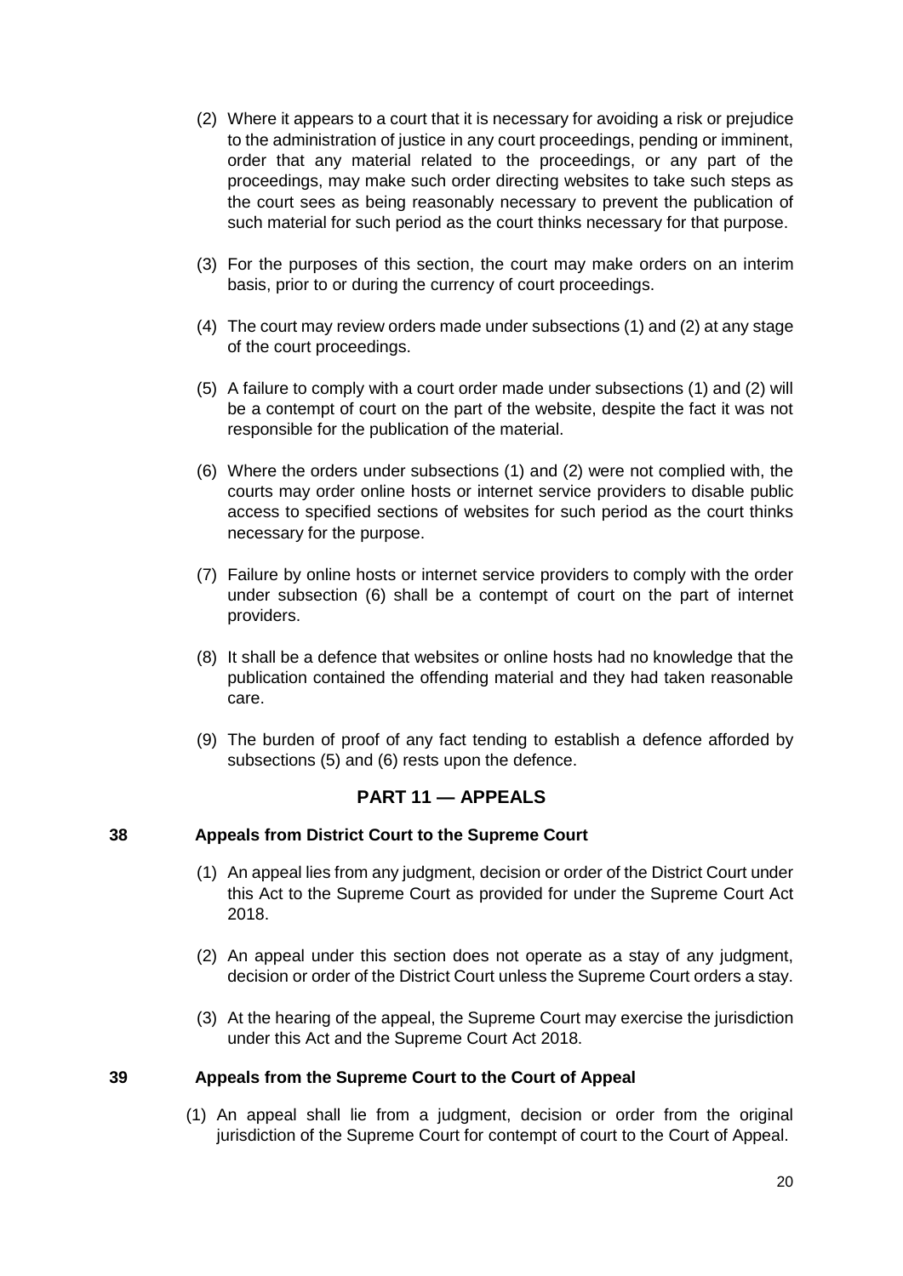- (2) Where it appears to a court that it is necessary for avoiding a risk or prejudice to the administration of justice in any court proceedings, pending or imminent, order that any material related to the proceedings, or any part of the proceedings, may make such order directing websites to take such steps as the court sees as being reasonably necessary to prevent the publication of such material for such period as the court thinks necessary for that purpose.
- (3) For the purposes of this section, the court may make orders on an interim basis, prior to or during the currency of court proceedings.
- (4) The court may review orders made under subsections (1) and (2) at any stage of the court proceedings.
- (5) A failure to comply with a court order made under subsections (1) and (2) will be a contempt of court on the part of the website, despite the fact it was not responsible for the publication of the material.
- (6) Where the orders under subsections (1) and (2) were not complied with, the courts may order online hosts or internet service providers to disable public access to specified sections of websites for such period as the court thinks necessary for the purpose.
- (7) Failure by online hosts or internet service providers to comply with the order under subsection (6) shall be a contempt of court on the part of internet providers.
- (8) It shall be a defence that websites or online hosts had no knowledge that the publication contained the offending material and they had taken reasonable care.
- (9) The burden of proof of any fact tending to establish a defence afforded by subsections (5) and (6) rests upon the defence.

## **PART 11 — APPEALS**

#### <span id="page-19-1"></span><span id="page-19-0"></span>**38 Appeals from District Court to the Supreme Court**

- (1) An appeal lies from any judgment, decision or order of the District Court under this Act to the Supreme Court as provided for under the Supreme Court Act 2018.
- (2) An appeal under this section does not operate as a stay of any judgment, decision or order of the District Court unless the Supreme Court orders a stay.
- (3) At the hearing of the appeal, the Supreme Court may exercise the jurisdiction under this Act and the Supreme Court Act 2018.

#### <span id="page-19-2"></span>**39 Appeals from the Supreme Court to the Court of Appeal**

(1) An appeal shall lie from a judgment, decision or order from the original jurisdiction of the Supreme Court for contempt of court to the Court of Appeal.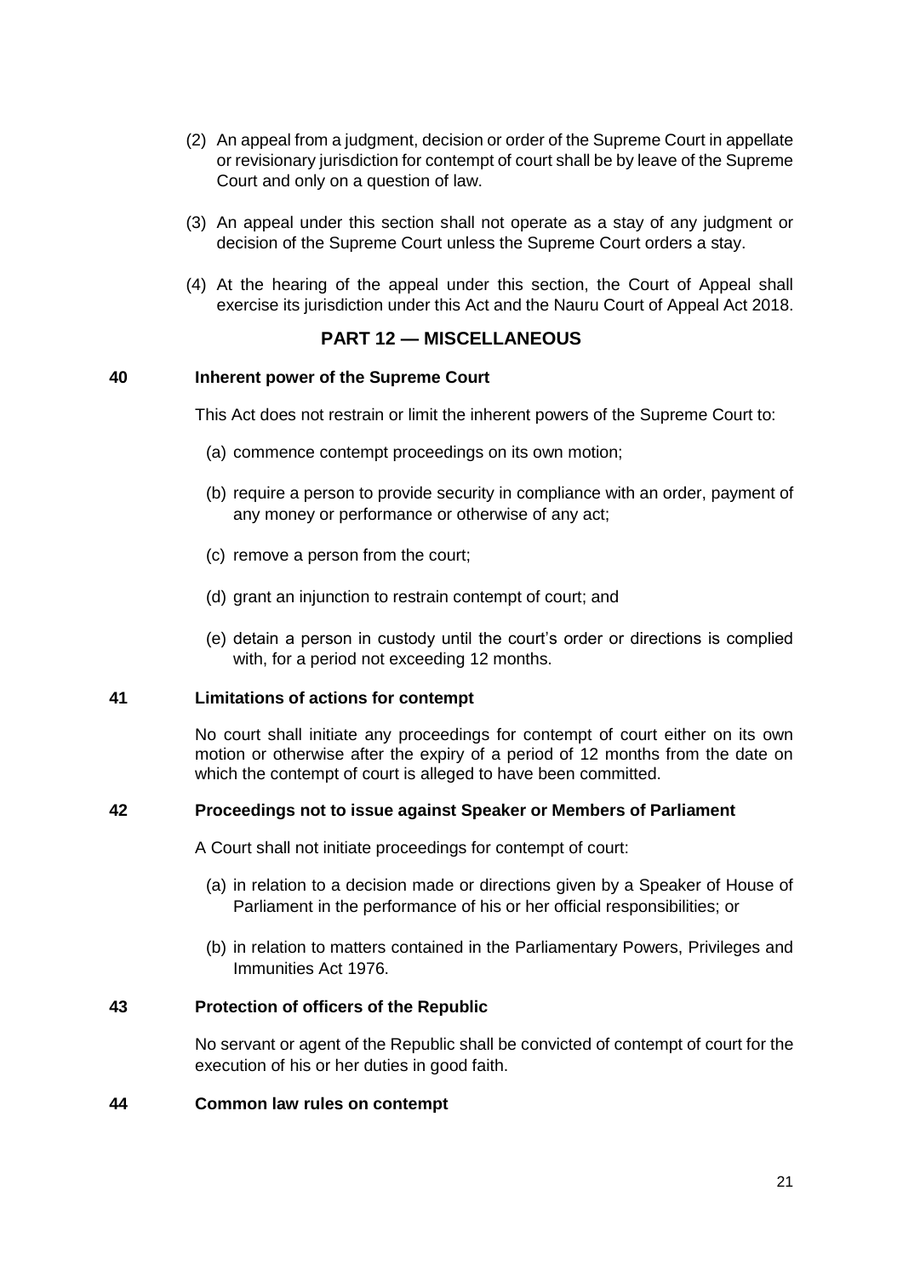- (2) An appeal from a judgment, decision or order of the Supreme Court in appellate or revisionary jurisdiction for contempt of court shall be by leave of the Supreme Court and only on a question of law.
- (3) An appeal under this section shall not operate as a stay of any judgment or decision of the Supreme Court unless the Supreme Court orders a stay.
- (4) At the hearing of the appeal under this section, the Court of Appeal shall exercise its jurisdiction under this Act and the Nauru Court of Appeal Act 2018.

## **PART 12 — MISCELLANEOUS**

#### <span id="page-20-1"></span><span id="page-20-0"></span>**40 Inherent power of the Supreme Court**

This Act does not restrain or limit the inherent powers of the Supreme Court to:

- (a) commence contempt proceedings on its own motion;
- (b) require a person to provide security in compliance with an order, payment of any money or performance or otherwise of any act;
- (c) remove a person from the court;
- (d) grant an injunction to restrain contempt of court; and
- (e) detain a person in custody until the court's order or directions is complied with, for a period not exceeding 12 months.

#### <span id="page-20-2"></span>**41 Limitations of actions for contempt**

No court shall initiate any proceedings for contempt of court either on its own motion or otherwise after the expiry of a period of 12 months from the date on which the contempt of court is alleged to have been committed.

## <span id="page-20-3"></span>**42 Proceedings not to issue against Speaker or Members of Parliament**

A Court shall not initiate proceedings for contempt of court:

- (a) in relation to a decision made or directions given by a Speaker of House of Parliament in the performance of his or her official responsibilities; or
- (b) in relation to matters contained in the Parliamentary Powers, Privileges and Immunities Act 1976.

#### <span id="page-20-4"></span>**43 Protection of officers of the Republic**

No servant or agent of the Republic shall be convicted of contempt of court for the execution of his or her duties in good faith.

#### <span id="page-20-5"></span>**44 Common law rules on contempt**